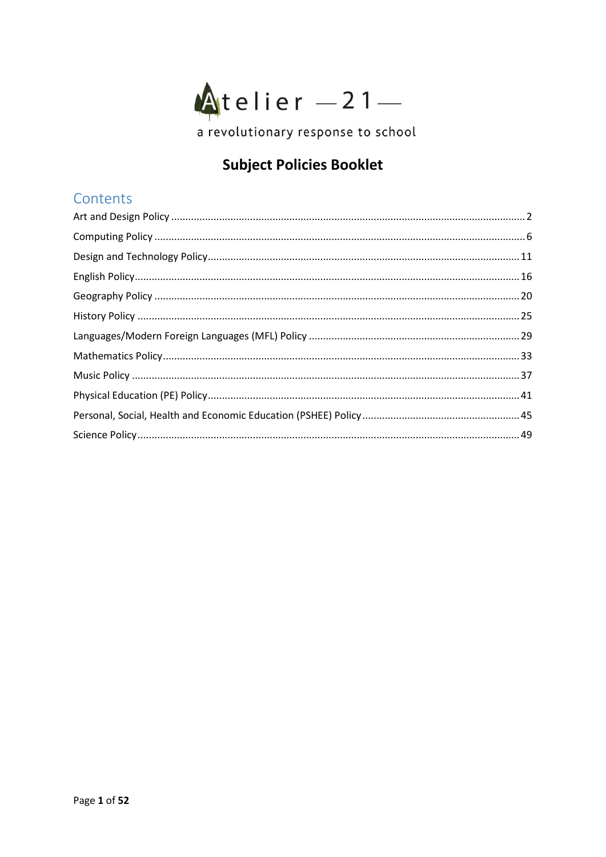

# **Subject Policies Booklet**

# Contents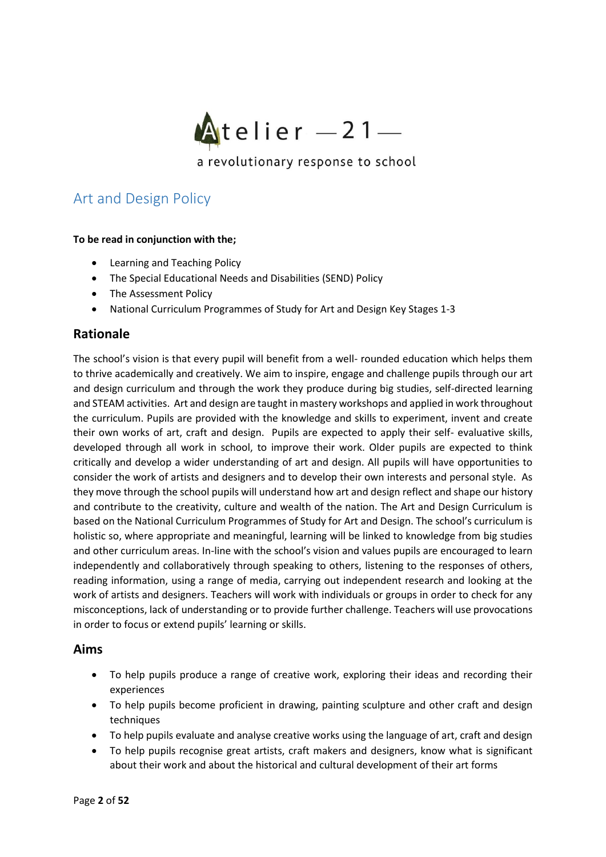

# <span id="page-1-0"></span>Art and Design Policy

### **To be read in conjunction with the;**

- Learning and Teaching Policy
- The Special Educational Needs and Disabilities (SEND) Policy
- The Assessment Policy
- National Curriculum Programmes of Study for Art and Design Key Stages 1-3

## **Rationale**

The school's vision is that every pupil will benefit from a well- rounded education which helps them to thrive academically and creatively. We aim to inspire, engage and challenge pupils through our art and design curriculum and through the work they produce during big studies, self-directed learning and STEAM activities. Art and design are taught in mastery workshops and applied in work throughout the curriculum. Pupils are provided with the knowledge and skills to experiment, invent and create their own works of art, craft and design. Pupils are expected to apply their self- evaluative skills, developed through all work in school, to improve their work. Older pupils are expected to think critically and develop a wider understanding of art and design. All pupils will have opportunities to consider the work of artists and designers and to develop their own interests and personal style. As they move through the school pupils will understand how art and design reflect and shape our history and contribute to the creativity, culture and wealth of the nation. The Art and Design Curriculum is based on the National Curriculum Programmes of Study for Art and Design. The school's curriculum is holistic so, where appropriate and meaningful, learning will be linked to knowledge from big studies and other curriculum areas. In-line with the school's vision and values pupils are encouraged to learn independently and collaboratively through speaking to others, listening to the responses of others, reading information, using a range of media, carrying out independent research and looking at the work of artists and designers. Teachers will work with individuals or groups in order to check for any misconceptions, lack of understanding or to provide further challenge. Teachers will use provocations in order to focus or extend pupils' learning or skills.

### **Aims**

- To help pupils produce a range of creative work, exploring their ideas and recording their experiences
- To help pupils become proficient in drawing, painting sculpture and other craft and design techniques
- To help pupils evaluate and analyse creative works using the language of art, craft and design
- To help pupils recognise great artists, craft makers and designers, know what is significant about their work and about the historical and cultural development of their art forms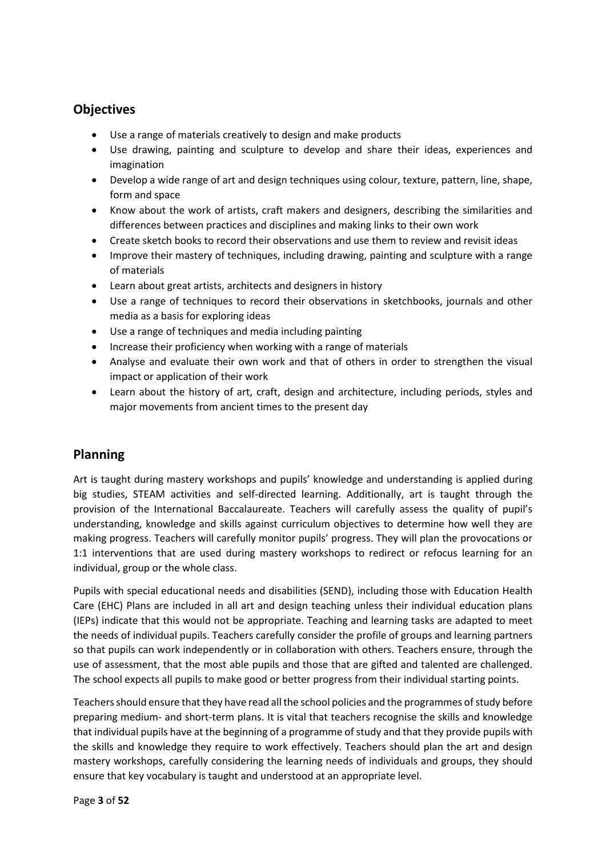# **Objectives**

- Use a range of materials creatively to design and make products
- Use drawing, painting and sculpture to develop and share their ideas, experiences and imagination
- Develop a wide range of art and design techniques using colour, texture, pattern, line, shape, form and space
- Know about the work of artists, craft makers and designers, describing the similarities and differences between practices and disciplines and making links to their own work
- Create sketch books to record their observations and use them to review and revisit ideas
- Improve their mastery of techniques, including drawing, painting and sculpture with a range of materials
- Learn about great artists, architects and designers in history
- Use a range of techniques to record their observations in sketchbooks, journals and other media as a basis for exploring ideas
- Use a range of techniques and media including painting
- Increase their proficiency when working with a range of materials
- Analyse and evaluate their own work and that of others in order to strengthen the visual impact or application of their work
- Learn about the history of art, craft, design and architecture, including periods, styles and major movements from ancient times to the present day

# **Planning**

Art is taught during mastery workshops and pupils' knowledge and understanding is applied during big studies, STEAM activities and self-directed learning. Additionally, art is taught through the provision of the International Baccalaureate. Teachers will carefully assess the quality of pupil's understanding, knowledge and skills against curriculum objectives to determine how well they are making progress. Teachers will carefully monitor pupils' progress. They will plan the provocations or 1:1 interventions that are used during mastery workshops to redirect or refocus learning for an individual, group or the whole class.

Pupils with special educational needs and disabilities (SEND), including those with Education Health Care (EHC) Plans are included in all art and design teaching unless their individual education plans (IEPs) indicate that this would not be appropriate. Teaching and learning tasks are adapted to meet the needs of individual pupils. Teachers carefully consider the profile of groups and learning partners so that pupils can work independently or in collaboration with others. Teachers ensure, through the use of assessment, that the most able pupils and those that are gifted and talented are challenged. The school expects all pupils to make good or better progress from their individual starting points.

Teachers should ensure that they have read all the school policies and the programmes of study before preparing medium- and short-term plans. It is vital that teachers recognise the skills and knowledge that individual pupils have at the beginning of a programme of study and that they provide pupils with the skills and knowledge they require to work effectively. Teachers should plan the art and design mastery workshops, carefully considering the learning needs of individuals and groups, they should ensure that key vocabulary is taught and understood at an appropriate level.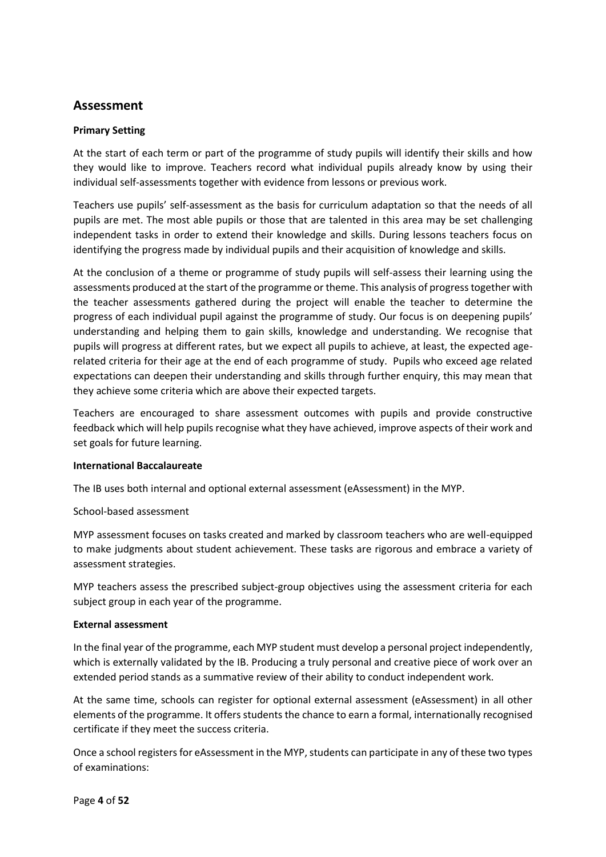## **Assessment**

#### **Primary Setting**

At the start of each term or part of the programme of study pupils will identify their skills and how they would like to improve. Teachers record what individual pupils already know by using their individual self-assessments together with evidence from lessons or previous work.

Teachers use pupils' self-assessment as the basis for curriculum adaptation so that the needs of all pupils are met. The most able pupils or those that are talented in this area may be set challenging independent tasks in order to extend their knowledge and skills. During lessons teachers focus on identifying the progress made by individual pupils and their acquisition of knowledge and skills.

At the conclusion of a theme or programme of study pupils will self-assess their learning using the assessments produced at the start of the programme or theme. This analysis of progress together with the teacher assessments gathered during the project will enable the teacher to determine the progress of each individual pupil against the programme of study. Our focus is on deepening pupils' understanding and helping them to gain skills, knowledge and understanding. We recognise that pupils will progress at different rates, but we expect all pupils to achieve, at least, the expected agerelated criteria for their age at the end of each programme of study. Pupils who exceed age related expectations can deepen their understanding and skills through further enquiry, this may mean that they achieve some criteria which are above their expected targets.

Teachers are encouraged to share assessment outcomes with pupils and provide constructive feedback which will help pupils recognise what they have achieved, improve aspects of their work and set goals for future learning.

#### **International Baccalaureate**

The IB uses both internal and optional external assessment (eAssessment) in the MYP.

School-based assessment

MYP assessment focuses on tasks created and marked by classroom teachers who are well-equipped to make judgments about student achievement. These tasks are rigorous and embrace a variety of assessment strategies.

MYP teachers assess the prescribed subject-group objectives using the assessment criteria for each subject group in each year of the programme.

#### **External assessment**

In the final year of the programme, each MYP student must develop a personal project independently, which is externally validated by the IB. Producing a truly personal and creative piece of work over an extended period stands as a summative review of their ability to conduct independent work.

At the same time, schools can register for optional external assessment (eAssessment) in all other elements of the programme. It offers students the chance to earn a formal, internationally recognised certificate if they meet the success criteria.

Once a school registers for eAssessment in the MYP, students can participate in any of these two types of examinations: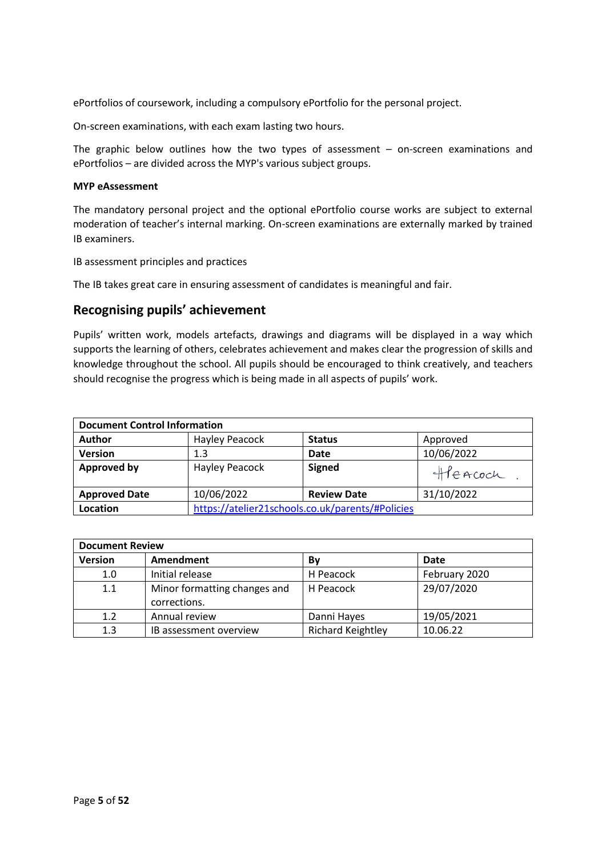ePortfolios of coursework, including a compulsory ePortfolio for the personal project.

On-screen examinations, with each exam lasting two hours.

The graphic below outlines how the two types of assessment – on-screen examinations and ePortfolios – are divided across the MYP's various subject groups.

#### **MYP eAssessment**

The mandatory personal project and the optional ePortfolio course works are subject to external moderation of teacher's internal marking. On-screen examinations are externally marked by trained IB examiners.

IB assessment principles and practices

The IB takes great care in ensuring assessment of candidates is meaningful and fair.

### **Recognising pupils' achievement**

Pupils' written work, models artefacts, drawings and diagrams will be displayed in a way which supports the learning of others, celebrates achievement and makes clear the progression of skills and knowledge throughout the school. All pupils should be encouraged to think creatively, and teachers should recognise the progress which is being made in all aspects of pupils' work.

| <b>Document Control Information</b> |                                                  |                    |            |
|-------------------------------------|--------------------------------------------------|--------------------|------------|
| <b>Author</b>                       | Hayley Peacock                                   | <b>Status</b>      | Approved   |
| <b>Version</b>                      | 1.3                                              | Date               | 10/06/2022 |
| <b>Approved by</b>                  | Hayley Peacock                                   | <b>Signed</b>      | Heacoch    |
| <b>Approved Date</b>                | 10/06/2022                                       | <b>Review Date</b> | 31/10/2022 |
| Location                            | https://atelier21schools.co.uk/parents/#Policies |                    |            |

| <b>Document Review</b> |                                              |                          |               |
|------------------------|----------------------------------------------|--------------------------|---------------|
| <b>Version</b>         | Amendment                                    | Bv                       | Date          |
| 1.0                    | Initial release                              | H Peacock                | February 2020 |
| 1.1                    | Minor formatting changes and<br>corrections. | H Peacock                | 29/07/2020    |
| 1.2                    | Annual review                                | Danni Hayes              | 19/05/2021    |
| 1.3                    | IB assessment overview                       | <b>Richard Keightley</b> | 10.06.22      |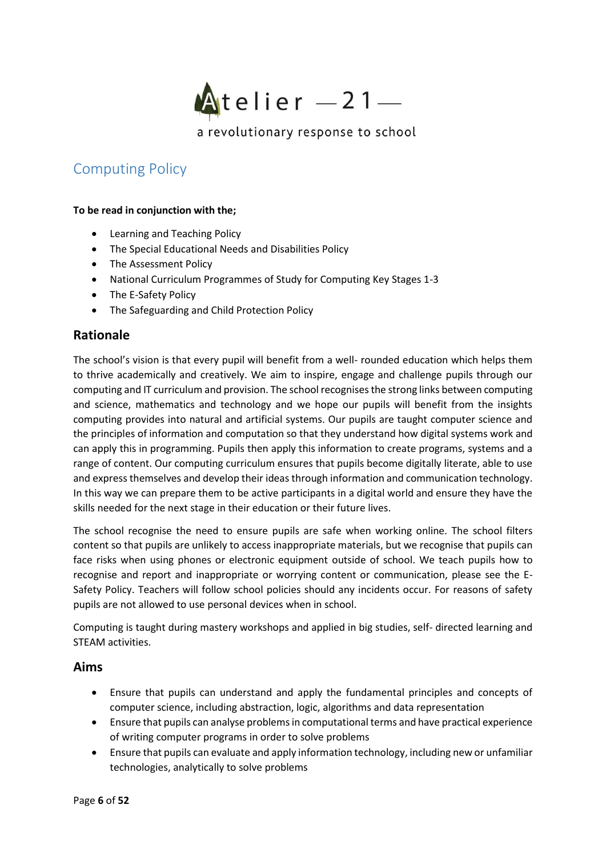

# <span id="page-5-0"></span>Computing Policy

#### **To be read in conjunction with the;**

- Learning and Teaching Policy
- The Special Educational Needs and Disabilities Policy
- The Assessment Policy
- National Curriculum Programmes of Study for Computing Key Stages 1-3
- The E-Safety Policy
- The Safeguarding and Child Protection Policy

## **Rationale**

The school's vision is that every pupil will benefit from a well- rounded education which helps them to thrive academically and creatively. We aim to inspire, engage and challenge pupils through our computing and IT curriculum and provision. The school recognises the strong links between computing and science, mathematics and technology and we hope our pupils will benefit from the insights computing provides into natural and artificial systems. Our pupils are taught computer science and the principles of information and computation so that they understand how digital systems work and can apply this in programming. Pupils then apply this information to create programs, systems and a range of content. Our computing curriculum ensures that pupils become digitally literate, able to use and express themselves and develop their ideas through information and communication technology. In this way we can prepare them to be active participants in a digital world and ensure they have the skills needed for the next stage in their education or their future lives.

The school recognise the need to ensure pupils are safe when working online. The school filters content so that pupils are unlikely to access inappropriate materials, but we recognise that pupils can face risks when using phones or electronic equipment outside of school. We teach pupils how to recognise and report and inappropriate or worrying content or communication, please see the E-Safety Policy. Teachers will follow school policies should any incidents occur. For reasons of safety pupils are not allowed to use personal devices when in school.

Computing is taught during mastery workshops and applied in big studies, self- directed learning and STEAM activities.

### **Aims**

- Ensure that pupils can understand and apply the fundamental principles and concepts of computer science, including abstraction, logic, algorithms and data representation
- Ensure that pupils can analyse problems in computational terms and have practical experience of writing computer programs in order to solve problems
- Ensure that pupils can evaluate and apply information technology, including new or unfamiliar technologies, analytically to solve problems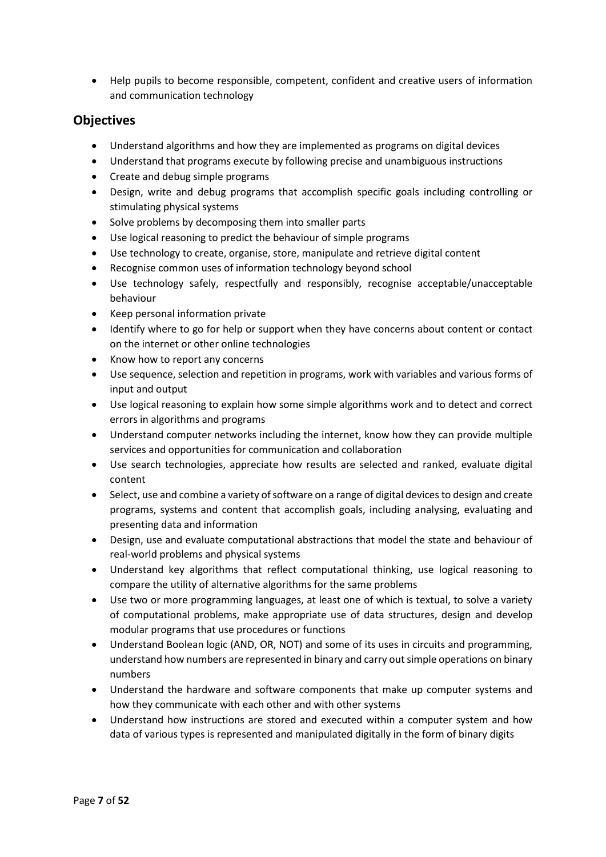• Help pupils to become responsible, competent, confident and creative users of information and communication technology

### **Objectives**

- Understand algorithms and how they are implemented as programs on digital devices
- Understand that programs execute by following precise and unambiguous instructions
- Create and debug simple programs
- Design, write and debug programs that accomplish specific goals including controlling or stimulating physical systems
- Solve problems by decomposing them into smaller parts
- Use logical reasoning to predict the behaviour of simple programs
- Use technology to create, organise, store, manipulate and retrieve digital content
- Recognise common uses of information technology beyond school
- Use technology safely, respectfully and responsibly, recognise acceptable/unacceptable behaviour
- Keep personal information private
- Identify where to go for help or support when they have concerns about content or contact on the internet or other online technologies
- Know how to report any concerns
- Use sequence, selection and repetition in programs, work with variables and various forms of input and output
- Use logical reasoning to explain how some simple algorithms work and to detect and correct errors in algorithms and programs
- Understand computer networks including the internet, know how they can provide multiple services and opportunities for communication and collaboration
- Use search technologies, appreciate how results are selected and ranked, evaluate digital content
- Select, use and combine a variety of software on a range of digital devices to design and create programs, systems and content that accomplish goals, including analysing, evaluating and presenting data and information
- Design, use and evaluate computational abstractions that model the state and behaviour of real-world problems and physical systems
- Understand key algorithms that reflect computational thinking, use logical reasoning to compare the utility of alternative algorithms for the same problems
- Use two or more programming languages, at least one of which is textual, to solve a variety of computational problems, make appropriate use of data structures, design and develop modular programs that use procedures or functions
- Understand Boolean logic (AND, OR, NOT) and some of its uses in circuits and programming, understand how numbers are represented in binary and carry out simple operations on binary numbers
- Understand the hardware and software components that make up computer systems and how they communicate with each other and with other systems
- Understand how instructions are stored and executed within a computer system and how data of various types is represented and manipulated digitally in the form of binary digits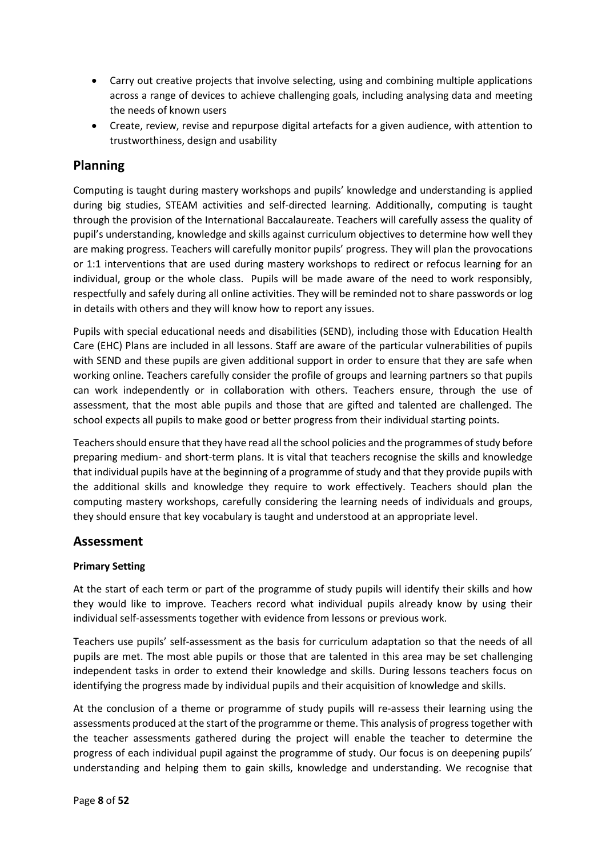- Carry out creative projects that involve selecting, using and combining multiple applications across a range of devices to achieve challenging goals, including analysing data and meeting the needs of known users
- Create, review, revise and repurpose digital artefacts for a given audience, with attention to trustworthiness, design and usability

# **Planning**

Computing is taught during mastery workshops and pupils' knowledge and understanding is applied during big studies, STEAM activities and self-directed learning. Additionally, computing is taught through the provision of the International Baccalaureate. Teachers will carefully assess the quality of pupil's understanding, knowledge and skills against curriculum objectives to determine how well they are making progress. Teachers will carefully monitor pupils' progress. They will plan the provocations or 1:1 interventions that are used during mastery workshops to redirect or refocus learning for an individual, group or the whole class. Pupils will be made aware of the need to work responsibly, respectfully and safely during all online activities. They will be reminded not to share passwords or log in details with others and they will know how to report any issues.

Pupils with special educational needs and disabilities (SEND), including those with Education Health Care (EHC) Plans are included in all lessons. Staff are aware of the particular vulnerabilities of pupils with SEND and these pupils are given additional support in order to ensure that they are safe when working online. Teachers carefully consider the profile of groups and learning partners so that pupils can work independently or in collaboration with others. Teachers ensure, through the use of assessment, that the most able pupils and those that are gifted and talented are challenged. The school expects all pupils to make good or better progress from their individual starting points.

Teachers should ensure that they have read all the school policies and the programmes of study before preparing medium- and short-term plans. It is vital that teachers recognise the skills and knowledge that individual pupils have at the beginning of a programme of study and that they provide pupils with the additional skills and knowledge they require to work effectively. Teachers should plan the computing mastery workshops, carefully considering the learning needs of individuals and groups, they should ensure that key vocabulary is taught and understood at an appropriate level.

### **Assessment**

### **Primary Setting**

At the start of each term or part of the programme of study pupils will identify their skills and how they would like to improve. Teachers record what individual pupils already know by using their individual self-assessments together with evidence from lessons or previous work.

Teachers use pupils' self-assessment as the basis for curriculum adaptation so that the needs of all pupils are met. The most able pupils or those that are talented in this area may be set challenging independent tasks in order to extend their knowledge and skills. During lessons teachers focus on identifying the progress made by individual pupils and their acquisition of knowledge and skills.

At the conclusion of a theme or programme of study pupils will re-assess their learning using the assessments produced at the start of the programme or theme. This analysis of progress together with the teacher assessments gathered during the project will enable the teacher to determine the progress of each individual pupil against the programme of study. Our focus is on deepening pupils' understanding and helping them to gain skills, knowledge and understanding. We recognise that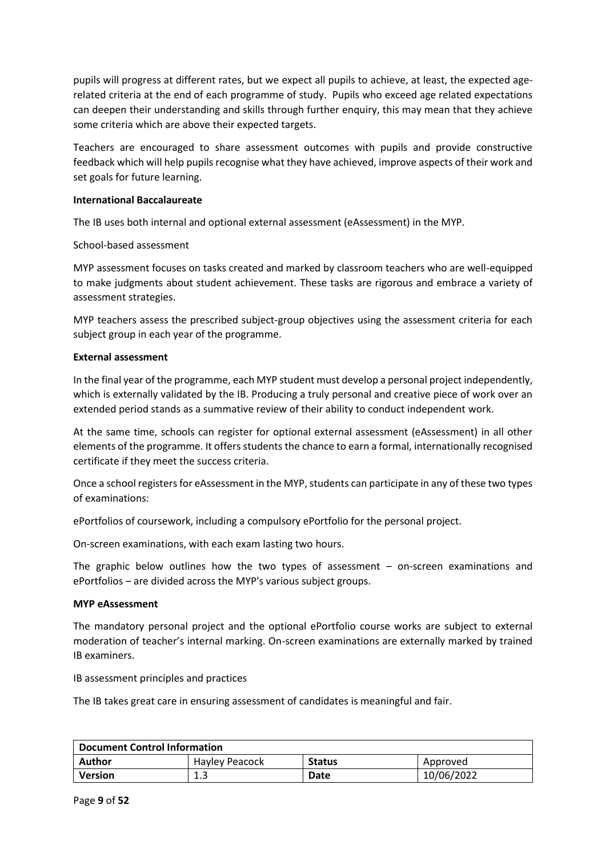pupils will progress at different rates, but we expect all pupils to achieve, at least, the expected agerelated criteria at the end of each programme of study. Pupils who exceed age related expectations can deepen their understanding and skills through further enquiry, this may mean that they achieve some criteria which are above their expected targets.

Teachers are encouraged to share assessment outcomes with pupils and provide constructive feedback which will help pupils recognise what they have achieved, improve aspects of their work and set goals for future learning.

#### **International Baccalaureate**

The IB uses both internal and optional external assessment (eAssessment) in the MYP.

#### School-based assessment

MYP assessment focuses on tasks created and marked by classroom teachers who are well-equipped to make judgments about student achievement. These tasks are rigorous and embrace a variety of assessment strategies.

MYP teachers assess the prescribed subject-group objectives using the assessment criteria for each subject group in each year of the programme.

#### **External assessment**

In the final year of the programme, each MYP student must develop a personal project independently, which is externally validated by the IB. Producing a truly personal and creative piece of work over an extended period stands as a summative review of their ability to conduct independent work.

At the same time, schools can register for optional external assessment (eAssessment) in all other elements of the programme. It offers students the chance to earn a formal, internationally recognised certificate if they meet the success criteria.

Once a school registers for eAssessment in the MYP, students can participate in any of these two types of examinations:

ePortfolios of coursework, including a compulsory ePortfolio for the personal project.

On-screen examinations, with each exam lasting two hours.

The graphic below outlines how the two types of assessment  $-$  on-screen examinations and ePortfolios – are divided across the MYP's various subject groups.

#### **MYP eAssessment**

The mandatory personal project and the optional ePortfolio course works are subject to external moderation of teacher's internal marking. On-screen examinations are externally marked by trained IB examiners.

IB assessment principles and practices

The IB takes great care in ensuring assessment of candidates is meaningful and fair.

| <b>Document Control Information</b> |                |               |            |
|-------------------------------------|----------------|---------------|------------|
| Author                              | Hayley Peacock | <b>Status</b> | Approved   |
| Version                             | ᆠ              | Date          | 10/06/2022 |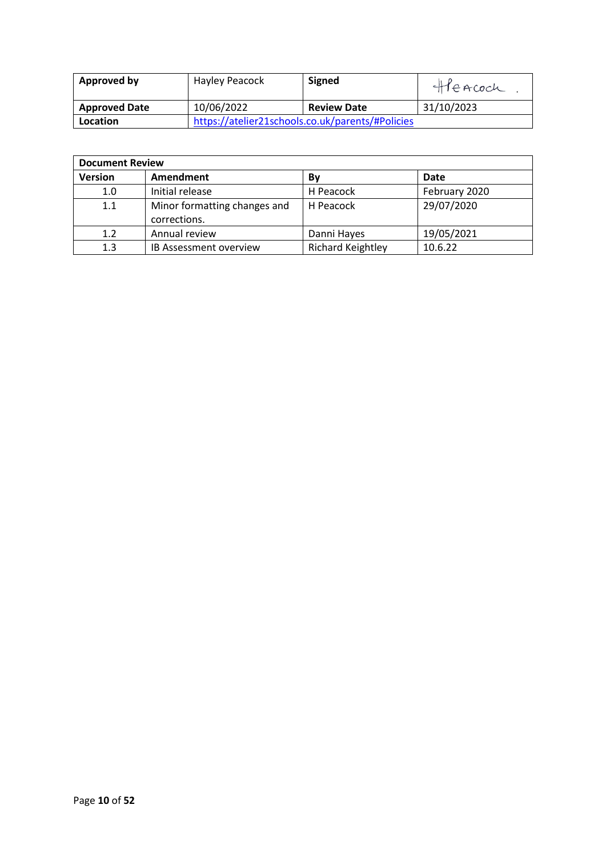| Approved by          | Hayley Peacock | Signed                                           | Heacoch    |
|----------------------|----------------|--------------------------------------------------|------------|
| <b>Approved Date</b> | 10/06/2022     | <b>Review Date</b>                               | 31/10/2023 |
| Location             |                | https://atelier21schools.co.uk/parents/#Policies |            |

| <b>Document Review</b> |                                              |                          |               |
|------------------------|----------------------------------------------|--------------------------|---------------|
| <b>Version</b>         | Amendment                                    | Bν                       | Date          |
| 1.0                    | Initial release                              | H Peacock                | February 2020 |
| 1.1                    | Minor formatting changes and<br>corrections. | H Peacock                | 29/07/2020    |
| 1.2                    | Annual review                                | Danni Hayes              | 19/05/2021    |
| 1.3                    | IB Assessment overview                       | <b>Richard Keightley</b> | 10.6.22       |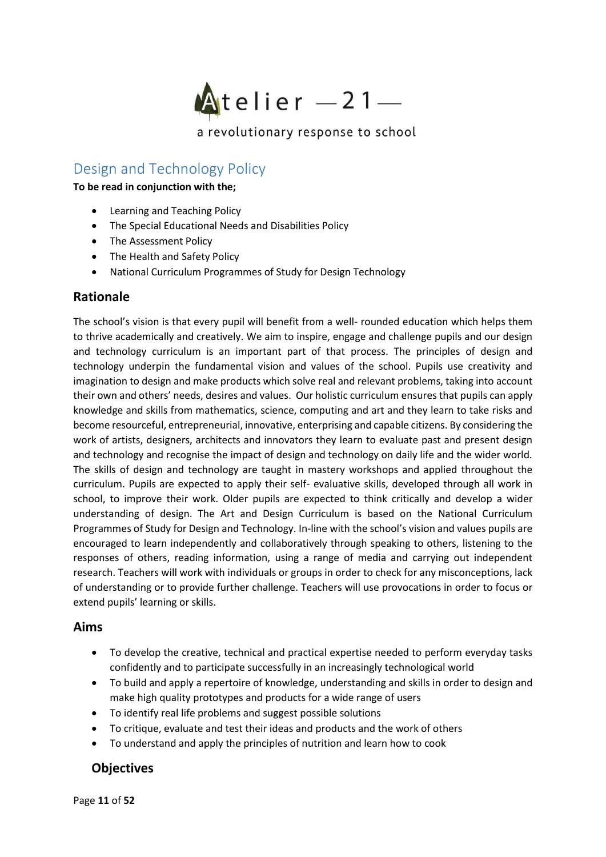

# <span id="page-10-0"></span>Design and Technology Policy

**To be read in conjunction with the;**

- Learning and Teaching Policy
- The Special Educational Needs and Disabilities Policy
- The Assessment Policy
- The Health and Safety Policy
- National Curriculum Programmes of Study for Design Technology

### **Rationale**

The school's vision is that every pupil will benefit from a well- rounded education which helps them to thrive academically and creatively. We aim to inspire, engage and challenge pupils and our design and technology curriculum is an important part of that process. The principles of design and technology underpin the fundamental vision and values of the school. Pupils use creativity and imagination to design and make products which solve real and relevant problems, taking into account their own and others' needs, desires and values. Our holistic curriculum ensures that pupils can apply knowledge and skills from mathematics, science, computing and art and they learn to take risks and become resourceful, entrepreneurial, innovative, enterprising and capable citizens. By considering the work of artists, designers, architects and innovators they learn to evaluate past and present design and technology and recognise the impact of design and technology on daily life and the wider world. The skills of design and technology are taught in mastery workshops and applied throughout the curriculum. Pupils are expected to apply their self- evaluative skills, developed through all work in school, to improve their work. Older pupils are expected to think critically and develop a wider understanding of design. The Art and Design Curriculum is based on the National Curriculum Programmes of Study for Design and Technology. In-line with the school's vision and values pupils are encouraged to learn independently and collaboratively through speaking to others, listening to the responses of others, reading information, using a range of media and carrying out independent research. Teachers will work with individuals or groups in order to check for any misconceptions, lack of understanding or to provide further challenge. Teachers will use provocations in order to focus or extend pupils' learning or skills.

### **Aims**

- To develop the creative, technical and practical expertise needed to perform everyday tasks confidently and to participate successfully in an increasingly technological world
- To build and apply a repertoire of knowledge, understanding and skills in order to design and make high quality prototypes and products for a wide range of users
- To identify real life problems and suggest possible solutions
- To critique, evaluate and test their ideas and products and the work of others
- To understand and apply the principles of nutrition and learn how to cook

### **Objectives**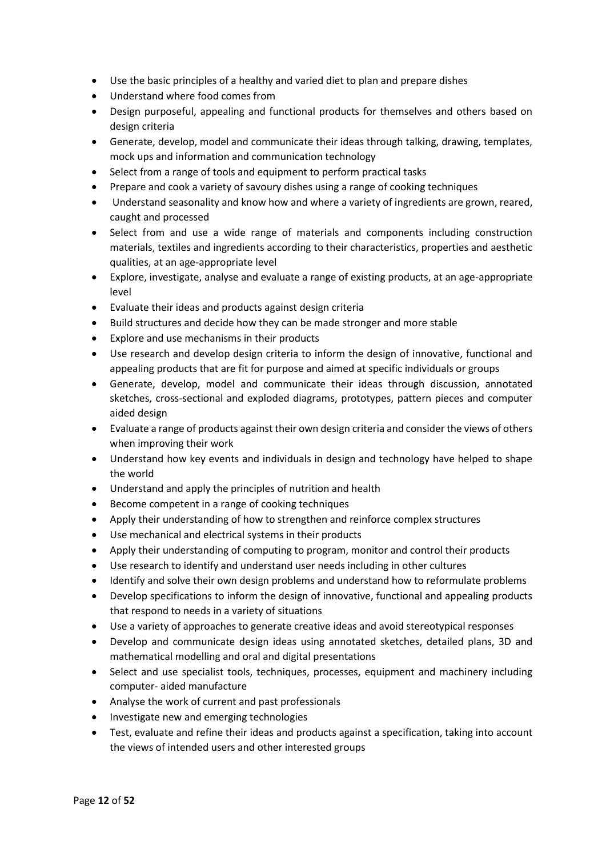- Use the basic principles of a healthy and varied diet to plan and prepare dishes
- Understand where food comes from
- Design purposeful, appealing and functional products for themselves and others based on design criteria
- Generate, develop, model and communicate their ideas through talking, drawing, templates, mock ups and information and communication technology
- Select from a range of tools and equipment to perform practical tasks
- Prepare and cook a variety of savoury dishes using a range of cooking techniques
- Understand seasonality and know how and where a variety of ingredients are grown, reared, caught and processed
- Select from and use a wide range of materials and components including construction materials, textiles and ingredients according to their characteristics, properties and aesthetic qualities, at an age-appropriate level
- Explore, investigate, analyse and evaluate a range of existing products, at an age-appropriate level
- Evaluate their ideas and products against design criteria
- Build structures and decide how they can be made stronger and more stable
- Explore and use mechanisms in their products
- Use research and develop design criteria to inform the design of innovative, functional and appealing products that are fit for purpose and aimed at specific individuals or groups
- Generate, develop, model and communicate their ideas through discussion, annotated sketches, cross-sectional and exploded diagrams, prototypes, pattern pieces and computer aided design
- Evaluate a range of products against their own design criteria and consider the views of others when improving their work
- Understand how key events and individuals in design and technology have helped to shape the world
- Understand and apply the principles of nutrition and health
- Become competent in a range of cooking techniques
- Apply their understanding of how to strengthen and reinforce complex structures
- Use mechanical and electrical systems in their products
- Apply their understanding of computing to program, monitor and control their products
- Use research to identify and understand user needs including in other cultures
- Identify and solve their own design problems and understand how to reformulate problems
- Develop specifications to inform the design of innovative, functional and appealing products that respond to needs in a variety of situations
- Use a variety of approaches to generate creative ideas and avoid stereotypical responses
- Develop and communicate design ideas using annotated sketches, detailed plans, 3D and mathematical modelling and oral and digital presentations
- Select and use specialist tools, techniques, processes, equipment and machinery including computer- aided manufacture
- Analyse the work of current and past professionals
- Investigate new and emerging technologies
- Test, evaluate and refine their ideas and products against a specification, taking into account the views of intended users and other interested groups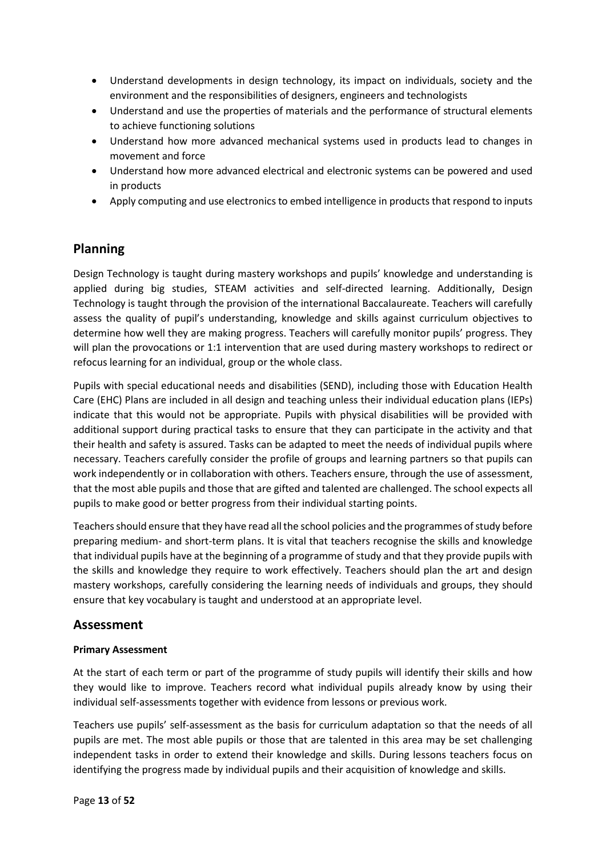- Understand developments in design technology, its impact on individuals, society and the environment and the responsibilities of designers, engineers and technologists
- Understand and use the properties of materials and the performance of structural elements to achieve functioning solutions
- Understand how more advanced mechanical systems used in products lead to changes in movement and force
- Understand how more advanced electrical and electronic systems can be powered and used in products
- Apply computing and use electronics to embed intelligence in products that respond to inputs

# **Planning**

Design Technology is taught during mastery workshops and pupils' knowledge and understanding is applied during big studies, STEAM activities and self-directed learning. Additionally, Design Technology is taught through the provision of the international Baccalaureate. Teachers will carefully assess the quality of pupil's understanding, knowledge and skills against curriculum objectives to determine how well they are making progress. Teachers will carefully monitor pupils' progress. They will plan the provocations or 1:1 intervention that are used during mastery workshops to redirect or refocus learning for an individual, group or the whole class.

Pupils with special educational needs and disabilities (SEND), including those with Education Health Care (EHC) Plans are included in all design and teaching unless their individual education plans (IEPs) indicate that this would not be appropriate. Pupils with physical disabilities will be provided with additional support during practical tasks to ensure that they can participate in the activity and that their health and safety is assured. Tasks can be adapted to meet the needs of individual pupils where necessary. Teachers carefully consider the profile of groups and learning partners so that pupils can work independently or in collaboration with others. Teachers ensure, through the use of assessment, that the most able pupils and those that are gifted and talented are challenged. The school expects all pupils to make good or better progress from their individual starting points.

Teachers should ensure that they have read all the school policies and the programmes of study before preparing medium- and short-term plans. It is vital that teachers recognise the skills and knowledge that individual pupils have at the beginning of a programme of study and that they provide pupils with the skills and knowledge they require to work effectively. Teachers should plan the art and design mastery workshops, carefully considering the learning needs of individuals and groups, they should ensure that key vocabulary is taught and understood at an appropriate level.

# **Assessment**

### **Primary Assessment**

At the start of each term or part of the programme of study pupils will identify their skills and how they would like to improve. Teachers record what individual pupils already know by using their individual self-assessments together with evidence from lessons or previous work.

Teachers use pupils' self-assessment as the basis for curriculum adaptation so that the needs of all pupils are met. The most able pupils or those that are talented in this area may be set challenging independent tasks in order to extend their knowledge and skills. During lessons teachers focus on identifying the progress made by individual pupils and their acquisition of knowledge and skills.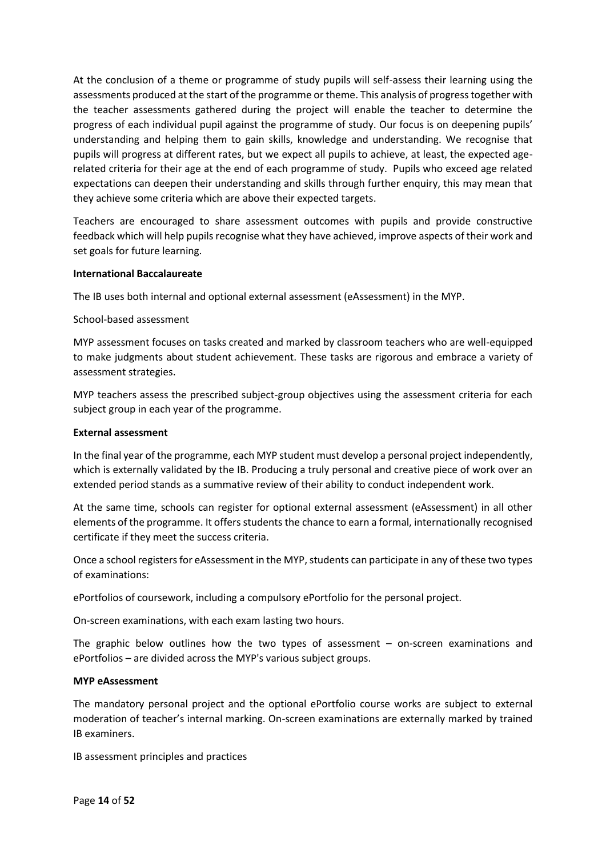At the conclusion of a theme or programme of study pupils will self-assess their learning using the assessments produced at the start of the programme or theme. This analysis of progress together with the teacher assessments gathered during the project will enable the teacher to determine the progress of each individual pupil against the programme of study. Our focus is on deepening pupils' understanding and helping them to gain skills, knowledge and understanding. We recognise that pupils will progress at different rates, but we expect all pupils to achieve, at least, the expected agerelated criteria for their age at the end of each programme of study. Pupils who exceed age related expectations can deepen their understanding and skills through further enquiry, this may mean that they achieve some criteria which are above their expected targets.

Teachers are encouraged to share assessment outcomes with pupils and provide constructive feedback which will help pupils recognise what they have achieved, improve aspects of their work and set goals for future learning.

#### **International Baccalaureate**

The IB uses both internal and optional external assessment (eAssessment) in the MYP.

School-based assessment

MYP assessment focuses on tasks created and marked by classroom teachers who are well-equipped to make judgments about student achievement. These tasks are rigorous and embrace a variety of assessment strategies.

MYP teachers assess the prescribed subject-group objectives using the assessment criteria for each subject group in each year of the programme.

#### **External assessment**

In the final year of the programme, each MYP student must develop a personal project independently, which is externally validated by the IB. Producing a truly personal and creative piece of work over an extended period stands as a summative review of their ability to conduct independent work.

At the same time, schools can register for optional external assessment (eAssessment) in all other elements of the programme. It offers students the chance to earn a formal, internationally recognised certificate if they meet the success criteria.

Once a school registers for eAssessment in the MYP, students can participate in any of these two types of examinations:

ePortfolios of coursework, including a compulsory ePortfolio for the personal project.

On-screen examinations, with each exam lasting two hours.

The graphic below outlines how the two types of assessment  $-$  on-screen examinations and ePortfolios – are divided across the MYP's various subject groups.

#### **MYP eAssessment**

The mandatory personal project and the optional ePortfolio course works are subject to external moderation of teacher's internal marking. On-screen examinations are externally marked by trained IB examiners.

IB assessment principles and practices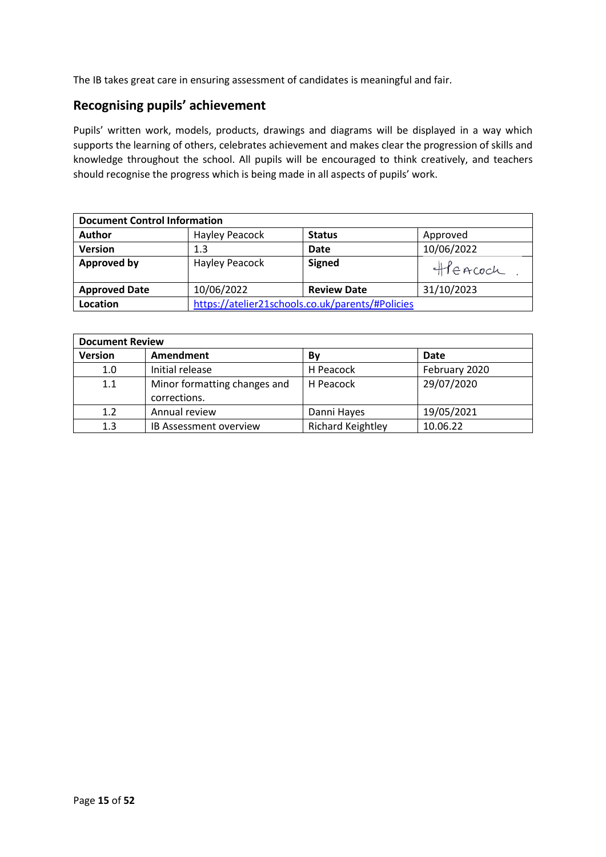The IB takes great care in ensuring assessment of candidates is meaningful and fair.

## **Recognising pupils' achievement**

Pupils' written work, models, products, drawings and diagrams will be displayed in a way which supports the learning of others, celebrates achievement and makes clear the progression of skills and knowledge throughout the school. All pupils will be encouraged to think creatively, and teachers should recognise the progress which is being made in all aspects of pupils' work.

| <b>Document Control Information</b> |                |                                                  |            |
|-------------------------------------|----------------|--------------------------------------------------|------------|
| <b>Author</b>                       | Hayley Peacock | <b>Status</b>                                    | Approved   |
| <b>Version</b>                      | 1.3            | <b>Date</b>                                      | 10/06/2022 |
| <b>Approved by</b>                  | Hayley Peacock | <b>Signed</b>                                    | Heacoch    |
| <b>Approved Date</b>                | 10/06/2022     | <b>Review Date</b>                               | 31/10/2023 |
| Location                            |                | https://atelier21schools.co.uk/parents/#Policies |            |

| <b>Document Review</b> |                                              |                          |               |
|------------------------|----------------------------------------------|--------------------------|---------------|
| <b>Version</b>         | Amendment                                    | Βv                       | <b>Date</b>   |
| 1.0                    | Initial release                              | H Peacock                | February 2020 |
| 1.1                    | Minor formatting changes and<br>corrections. | H Peacock                | 29/07/2020    |
| 1.2                    | Annual review                                | Danni Hayes              | 19/05/2021    |
| 1.3                    | <b>IB Assessment overview</b>                | <b>Richard Keightley</b> | 10.06.22      |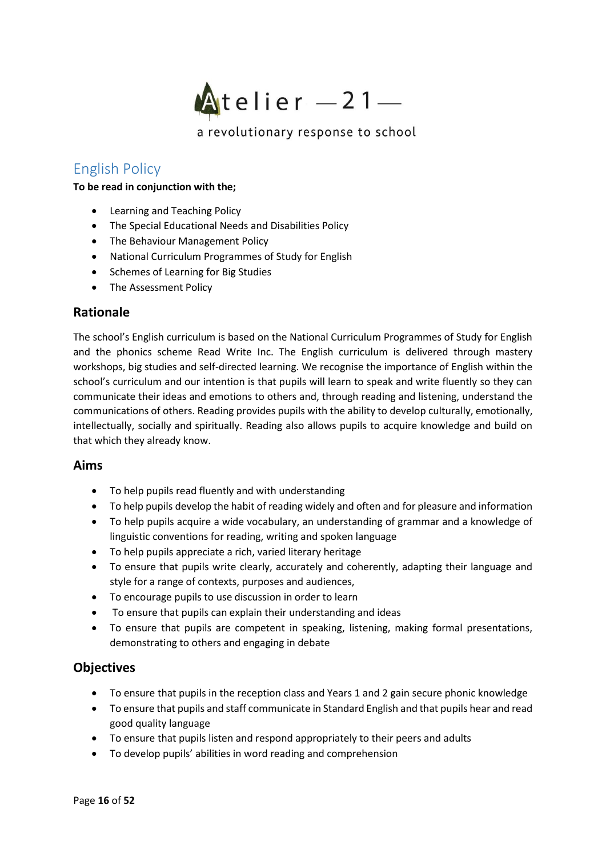

# <span id="page-15-0"></span>English Policy

#### **To be read in conjunction with the;**

- Learning and Teaching Policy
- The Special Educational Needs and Disabilities Policy
- The Behaviour Management Policy
- National Curriculum Programmes of Study for English
- Schemes of Learning for Big Studies
- The Assessment Policy

## **Rationale**

The school's English curriculum is based on the National Curriculum Programmes of Study for English and the phonics scheme Read Write Inc. The English curriculum is delivered through mastery workshops, big studies and self-directed learning. We recognise the importance of English within the school's curriculum and our intention is that pupils will learn to speak and write fluently so they can communicate their ideas and emotions to others and, through reading and listening, understand the communications of others. Reading provides pupils with the ability to develop culturally, emotionally, intellectually, socially and spiritually. Reading also allows pupils to acquire knowledge and build on that which they already know.

### **Aims**

- To help pupils read fluently and with understanding
- To help pupils develop the habit of reading widely and often and for pleasure and information
- To help pupils acquire a wide vocabulary, an understanding of grammar and a knowledge of linguistic conventions for reading, writing and spoken language
- To help pupils appreciate a rich, varied literary heritage
- To ensure that pupils write clearly, accurately and coherently, adapting their language and style for a range of contexts, purposes and audiences,
- To encourage pupils to use discussion in order to learn
- To ensure that pupils can explain their understanding and ideas
- To ensure that pupils are competent in speaking, listening, making formal presentations, demonstrating to others and engaging in debate

# **Objectives**

- To ensure that pupils in the reception class and Years 1 and 2 gain secure phonic knowledge
- To ensure that pupils and staff communicate in Standard English and that pupils hear and read good quality language
- To ensure that pupils listen and respond appropriately to their peers and adults
- To develop pupils' abilities in word reading and comprehension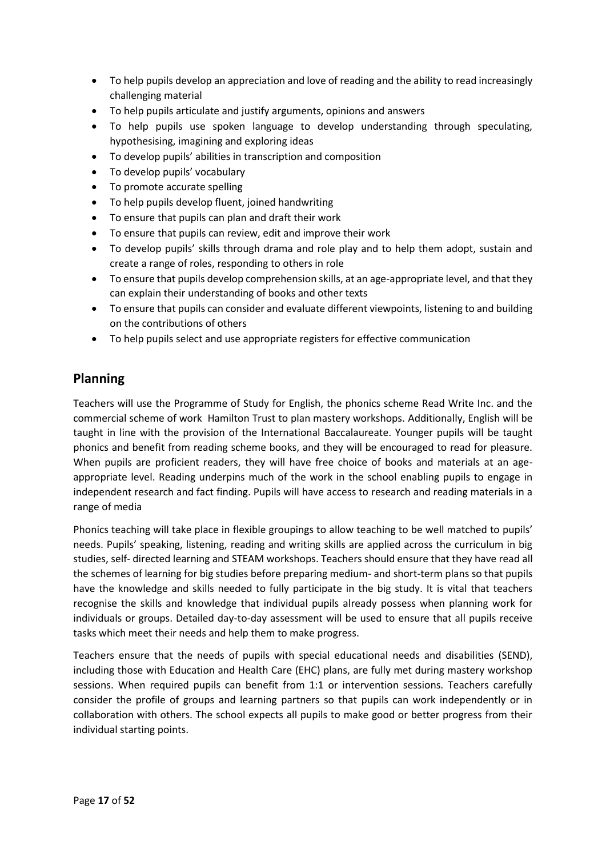- To help pupils develop an appreciation and love of reading and the ability to read increasingly challenging material
- To help pupils articulate and justify arguments, opinions and answers
- To help pupils use spoken language to develop understanding through speculating, hypothesising, imagining and exploring ideas
- To develop pupils' abilities in transcription and composition
- To develop pupils' vocabulary
- To promote accurate spelling
- To help pupils develop fluent, joined handwriting
- To ensure that pupils can plan and draft their work
- To ensure that pupils can review, edit and improve their work
- To develop pupils' skills through drama and role play and to help them adopt, sustain and create a range of roles, responding to others in role
- To ensure that pupils develop comprehension skills, at an age-appropriate level, and that they can explain their understanding of books and other texts
- To ensure that pupils can consider and evaluate different viewpoints, listening to and building on the contributions of others
- To help pupils select and use appropriate registers for effective communication

# **Planning**

Teachers will use the Programme of Study for English, the phonics scheme Read Write Inc. and the commercial scheme of work Hamilton Trust to plan mastery workshops. Additionally, English will be taught in line with the provision of the International Baccalaureate. Younger pupils will be taught phonics and benefit from reading scheme books, and they will be encouraged to read for pleasure. When pupils are proficient readers, they will have free choice of books and materials at an ageappropriate level. Reading underpins much of the work in the school enabling pupils to engage in independent research and fact finding. Pupils will have access to research and reading materials in a range of media

Phonics teaching will take place in flexible groupings to allow teaching to be well matched to pupils' needs. Pupils' speaking, listening, reading and writing skills are applied across the curriculum in big studies, self- directed learning and STEAM workshops. Teachers should ensure that they have read all the schemes of learning for big studies before preparing medium- and short-term plans so that pupils have the knowledge and skills needed to fully participate in the big study. It is vital that teachers recognise the skills and knowledge that individual pupils already possess when planning work for individuals or groups. Detailed day-to-day assessment will be used to ensure that all pupils receive tasks which meet their needs and help them to make progress.

Teachers ensure that the needs of pupils with special educational needs and disabilities (SEND), including those with Education and Health Care (EHC) plans, are fully met during mastery workshop sessions. When required pupils can benefit from 1:1 or intervention sessions. Teachers carefully consider the profile of groups and learning partners so that pupils can work independently or in collaboration with others. The school expects all pupils to make good or better progress from their individual starting points.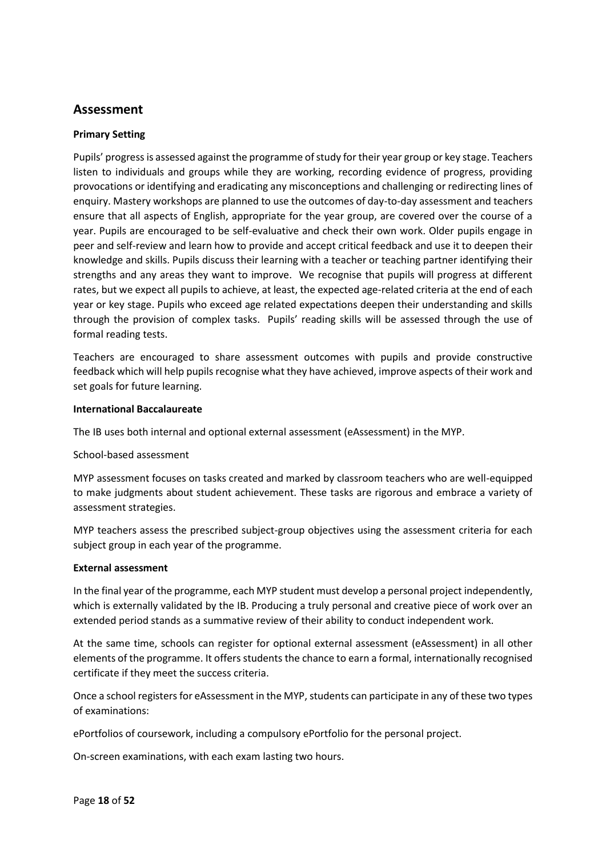## **Assessment**

#### **Primary Setting**

Pupils' progress is assessed against the programme of study for their year group or key stage. Teachers listen to individuals and groups while they are working, recording evidence of progress, providing provocations or identifying and eradicating any misconceptions and challenging or redirecting lines of enquiry. Mastery workshops are planned to use the outcomes of day-to-day assessment and teachers ensure that all aspects of English, appropriate for the year group, are covered over the course of a year. Pupils are encouraged to be self-evaluative and check their own work. Older pupils engage in peer and self-review and learn how to provide and accept critical feedback and use it to deepen their knowledge and skills. Pupils discuss their learning with a teacher or teaching partner identifying their strengths and any areas they want to improve. We recognise that pupils will progress at different rates, but we expect all pupils to achieve, at least, the expected age-related criteria at the end of each year or key stage. Pupils who exceed age related expectations deepen their understanding and skills through the provision of complex tasks. Pupils' reading skills will be assessed through the use of formal reading tests.

Teachers are encouraged to share assessment outcomes with pupils and provide constructive feedback which will help pupils recognise what they have achieved, improve aspects of their work and set goals for future learning.

#### **International Baccalaureate**

The IB uses both internal and optional external assessment (eAssessment) in the MYP.

#### School-based assessment

MYP assessment focuses on tasks created and marked by classroom teachers who are well-equipped to make judgments about student achievement. These tasks are rigorous and embrace a variety of assessment strategies.

MYP teachers assess the prescribed subject-group objectives using the assessment criteria for each subject group in each year of the programme.

#### **External assessment**

In the final year of the programme, each MYP student must develop a personal project independently, which is externally validated by the IB. Producing a truly personal and creative piece of work over an extended period stands as a summative review of their ability to conduct independent work.

At the same time, schools can register for optional external assessment (eAssessment) in all other elements of the programme. It offers students the chance to earn a formal, internationally recognised certificate if they meet the success criteria.

Once a school registers for eAssessment in the MYP, students can participate in any of these two types of examinations:

ePortfolios of coursework, including a compulsory ePortfolio for the personal project.

On-screen examinations, with each exam lasting two hours.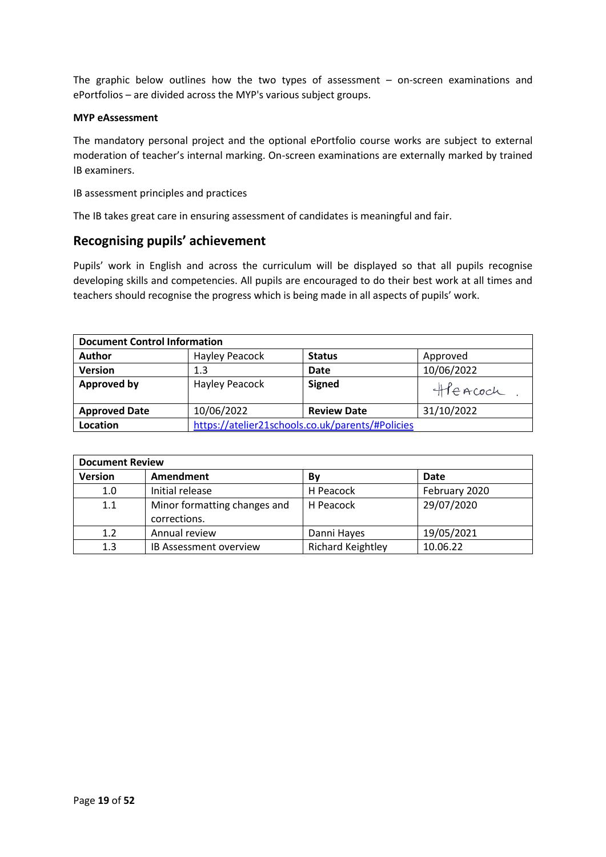The graphic below outlines how the two types of assessment – on-screen examinations and ePortfolios – are divided across the MYP's various subject groups.

#### **MYP eAssessment**

The mandatory personal project and the optional ePortfolio course works are subject to external moderation of teacher's internal marking. On-screen examinations are externally marked by trained IB examiners.

IB assessment principles and practices

The IB takes great care in ensuring assessment of candidates is meaningful and fair.

### **Recognising pupils' achievement**

Pupils' work in English and across the curriculum will be displayed so that all pupils recognise developing skills and competencies. All pupils are encouraged to do their best work at all times and teachers should recognise the progress which is being made in all aspects of pupils' work.

| <b>Document Control Information</b> |                                                  |                    |            |
|-------------------------------------|--------------------------------------------------|--------------------|------------|
| <b>Author</b>                       | Hayley Peacock                                   | <b>Status</b>      | Approved   |
| <b>Version</b>                      | 1.3                                              | Date               | 10/06/2022 |
| <b>Approved by</b>                  | Hayley Peacock                                   | <b>Signed</b>      | Heacoch    |
| <b>Approved Date</b>                | 10/06/2022                                       | <b>Review Date</b> | 31/10/2022 |
| Location                            | https://atelier21schools.co.uk/parents/#Policies |                    |            |

| <b>Document Review</b> |                               |                          |               |
|------------------------|-------------------------------|--------------------------|---------------|
| <b>Version</b>         | Amendment                     | Βv                       | Date          |
| 1.0                    | Initial release               | H Peacock                | February 2020 |
| 1.1                    | Minor formatting changes and  | H Peacock                | 29/07/2020    |
|                        | corrections.                  |                          |               |
| 1.2                    | Annual review                 | Danni Hayes              | 19/05/2021    |
| 1.3                    | <b>IB Assessment overview</b> | <b>Richard Keightley</b> | 10.06.22      |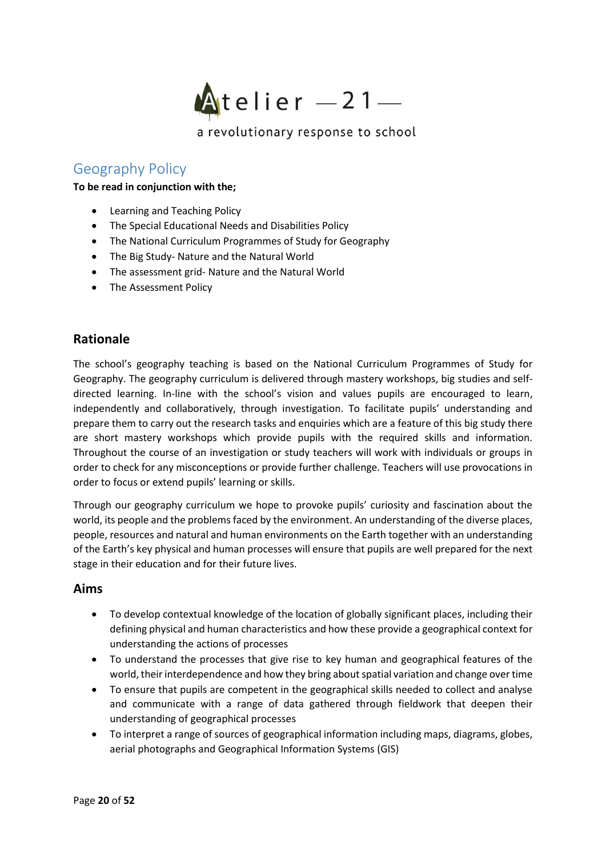

# <span id="page-19-0"></span>Geography Policy

#### **To be read in conjunction with the;**

- Learning and Teaching Policy
- The Special Educational Needs and Disabilities Policy
- The National Curriculum Programmes of Study for Geography
- The Big Study- Nature and the Natural World
- The assessment grid- Nature and the Natural World
- The Assessment Policy

# **Rationale**

The school's geography teaching is based on the National Curriculum Programmes of Study for Geography. The geography curriculum is delivered through mastery workshops, big studies and selfdirected learning. In-line with the school's vision and values pupils are encouraged to learn, independently and collaboratively, through investigation. To facilitate pupils' understanding and prepare them to carry out the research tasks and enquiries which are a feature of this big study there are short mastery workshops which provide pupils with the required skills and information. Throughout the course of an investigation or study teachers will work with individuals or groups in order to check for any misconceptions or provide further challenge. Teachers will use provocations in order to focus or extend pupils' learning or skills.

Through our geography curriculum we hope to provoke pupils' curiosity and fascination about the world, its people and the problems faced by the environment. An understanding of the diverse places, people, resources and natural and human environments on the Earth together with an understanding of the Earth's key physical and human processes will ensure that pupils are well prepared for the next stage in their education and for their future lives.

### **Aims**

- To develop contextual knowledge of the location of globally significant places, including their defining physical and human characteristics and how these provide a geographical context for understanding the actions of processes
- To understand the processes that give rise to key human and geographical features of the world, their interdependence and how they bring about spatial variation and change over time
- To ensure that pupils are competent in the geographical skills needed to collect and analyse and communicate with a range of data gathered through fieldwork that deepen their understanding of geographical processes
- To interpret a range of sources of geographical information including maps, diagrams, globes, aerial photographs and Geographical Information Systems (GIS)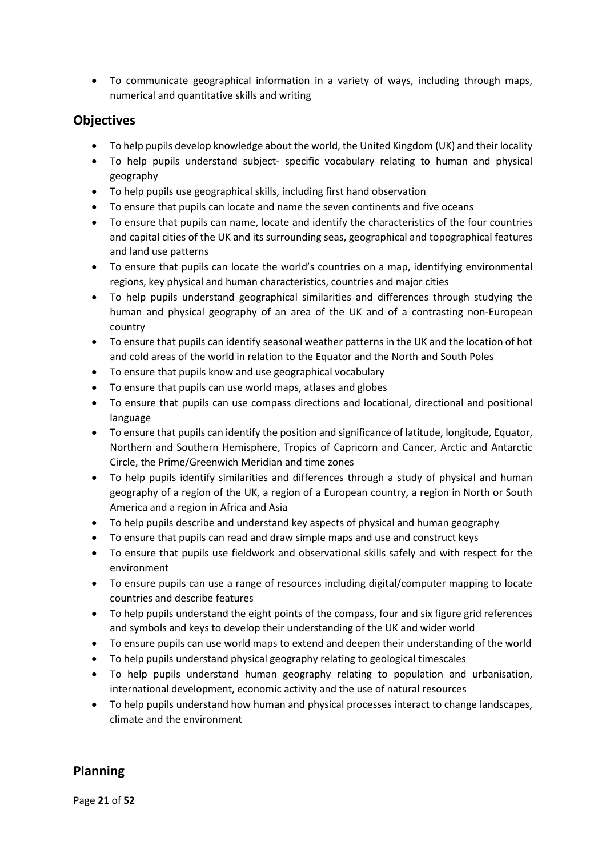• To communicate geographical information in a variety of ways, including through maps, numerical and quantitative skills and writing

## **Objectives**

- To help pupils develop knowledge about the world, the United Kingdom (UK) and their locality
- To help pupils understand subject- specific vocabulary relating to human and physical geography
- To help pupils use geographical skills, including first hand observation
- To ensure that pupils can locate and name the seven continents and five oceans
- To ensure that pupils can name, locate and identify the characteristics of the four countries and capital cities of the UK and its surrounding seas, geographical and topographical features and land use patterns
- To ensure that pupils can locate the world's countries on a map, identifying environmental regions, key physical and human characteristics, countries and major cities
- To help pupils understand geographical similarities and differences through studying the human and physical geography of an area of the UK and of a contrasting non-European country
- To ensure that pupils can identify seasonal weather patterns in the UK and the location of hot and cold areas of the world in relation to the Equator and the North and South Poles
- To ensure that pupils know and use geographical vocabulary
- To ensure that pupils can use world maps, atlases and globes
- To ensure that pupils can use compass directions and locational, directional and positional language
- To ensure that pupils can identify the position and significance of latitude, longitude, Equator, Northern and Southern Hemisphere, Tropics of Capricorn and Cancer, Arctic and Antarctic Circle, the Prime/Greenwich Meridian and time zones
- To help pupils identify similarities and differences through a study of physical and human geography of a region of the UK, a region of a European country, a region in North or South America and a region in Africa and Asia
- To help pupils describe and understand key aspects of physical and human geography
- To ensure that pupils can read and draw simple maps and use and construct keys
- To ensure that pupils use fieldwork and observational skills safely and with respect for the environment
- To ensure pupils can use a range of resources including digital/computer mapping to locate countries and describe features
- To help pupils understand the eight points of the compass, four and six figure grid references and symbols and keys to develop their understanding of the UK and wider world
- To ensure pupils can use world maps to extend and deepen their understanding of the world
- To help pupils understand physical geography relating to geological timescales
- To help pupils understand human geography relating to population and urbanisation, international development, economic activity and the use of natural resources
- To help pupils understand how human and physical processes interact to change landscapes, climate and the environment

# **Planning**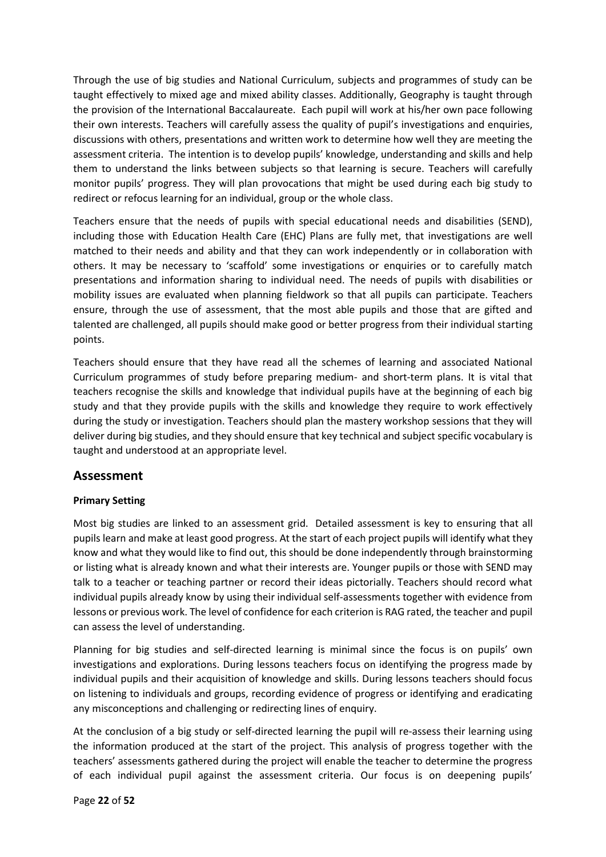Through the use of big studies and National Curriculum, subjects and programmes of study can be taught effectively to mixed age and mixed ability classes. Additionally, Geography is taught through the provision of the International Baccalaureate. Each pupil will work at his/her own pace following their own interests. Teachers will carefully assess the quality of pupil's investigations and enquiries, discussions with others, presentations and written work to determine how well they are meeting the assessment criteria. The intention is to develop pupils' knowledge, understanding and skills and help them to understand the links between subjects so that learning is secure. Teachers will carefully monitor pupils' progress. They will plan provocations that might be used during each big study to redirect or refocus learning for an individual, group or the whole class.

Teachers ensure that the needs of pupils with special educational needs and disabilities (SEND), including those with Education Health Care (EHC) Plans are fully met, that investigations are well matched to their needs and ability and that they can work independently or in collaboration with others. It may be necessary to 'scaffold' some investigations or enquiries or to carefully match presentations and information sharing to individual need. The needs of pupils with disabilities or mobility issues are evaluated when planning fieldwork so that all pupils can participate. Teachers ensure, through the use of assessment, that the most able pupils and those that are gifted and talented are challenged, all pupils should make good or better progress from their individual starting points.

Teachers should ensure that they have read all the schemes of learning and associated National Curriculum programmes of study before preparing medium- and short-term plans. It is vital that teachers recognise the skills and knowledge that individual pupils have at the beginning of each big study and that they provide pupils with the skills and knowledge they require to work effectively during the study or investigation. Teachers should plan the mastery workshop sessions that they will deliver during big studies, and they should ensure that key technical and subject specific vocabulary is taught and understood at an appropriate level.

### **Assessment**

### **Primary Setting**

Most big studies are linked to an assessment grid. Detailed assessment is key to ensuring that all pupils learn and make at least good progress. At the start of each project pupils will identify what they know and what they would like to find out, this should be done independently through brainstorming or listing what is already known and what their interests are. Younger pupils or those with SEND may talk to a teacher or teaching partner or record their ideas pictorially. Teachers should record what individual pupils already know by using their individual self-assessments together with evidence from lessons or previous work. The level of confidence for each criterion is RAG rated, the teacher and pupil can assess the level of understanding.

Planning for big studies and self-directed learning is minimal since the focus is on pupils' own investigations and explorations. During lessons teachers focus on identifying the progress made by individual pupils and their acquisition of knowledge and skills. During lessons teachers should focus on listening to individuals and groups, recording evidence of progress or identifying and eradicating any misconceptions and challenging or redirecting lines of enquiry.

At the conclusion of a big study or self-directed learning the pupil will re-assess their learning using the information produced at the start of the project. This analysis of progress together with the teachers' assessments gathered during the project will enable the teacher to determine the progress of each individual pupil against the assessment criteria. Our focus is on deepening pupils'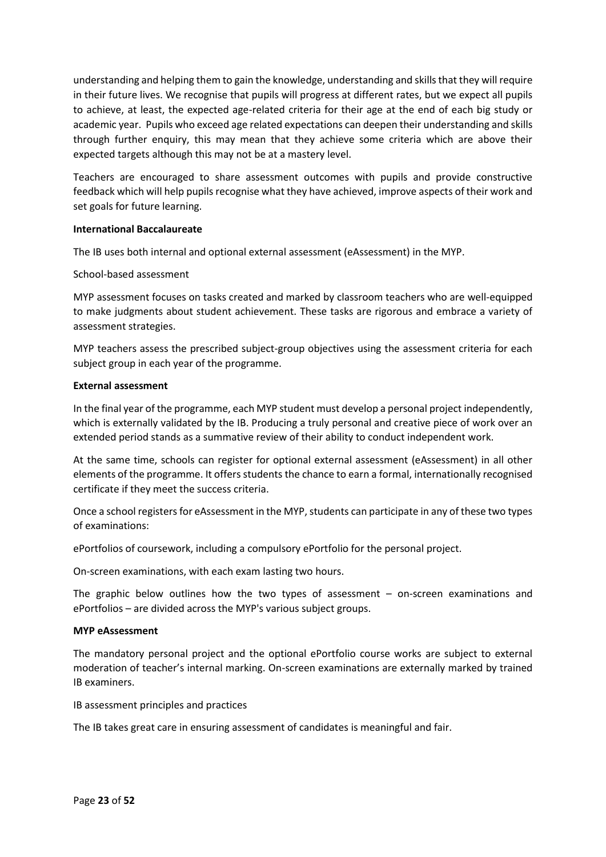understanding and helping them to gain the knowledge, understanding and skills that they will require in their future lives. We recognise that pupils will progress at different rates, but we expect all pupils to achieve, at least, the expected age-related criteria for their age at the end of each big study or academic year. Pupils who exceed age related expectations can deepen their understanding and skills through further enquiry, this may mean that they achieve some criteria which are above their expected targets although this may not be at a mastery level.

Teachers are encouraged to share assessment outcomes with pupils and provide constructive feedback which will help pupils recognise what they have achieved, improve aspects of their work and set goals for future learning.

#### **International Baccalaureate**

The IB uses both internal and optional external assessment (eAssessment) in the MYP.

#### School-based assessment

MYP assessment focuses on tasks created and marked by classroom teachers who are well-equipped to make judgments about student achievement. These tasks are rigorous and embrace a variety of assessment strategies.

MYP teachers assess the prescribed subject-group objectives using the assessment criteria for each subject group in each year of the programme.

#### **External assessment**

In the final year of the programme, each MYP student must develop a personal project independently, which is externally validated by the IB. Producing a truly personal and creative piece of work over an extended period stands as a summative review of their ability to conduct independent work.

At the same time, schools can register for optional external assessment (eAssessment) in all other elements of the programme. It offers students the chance to earn a formal, internationally recognised certificate if they meet the success criteria.

Once a school registers for eAssessment in the MYP, students can participate in any of these two types of examinations:

ePortfolios of coursework, including a compulsory ePortfolio for the personal project.

On-screen examinations, with each exam lasting two hours.

The graphic below outlines how the two types of assessment – on-screen examinations and ePortfolios – are divided across the MYP's various subject groups.

#### **MYP eAssessment**

The mandatory personal project and the optional ePortfolio course works are subject to external moderation of teacher's internal marking. On-screen examinations are externally marked by trained IB examiners.

IB assessment principles and practices

The IB takes great care in ensuring assessment of candidates is meaningful and fair.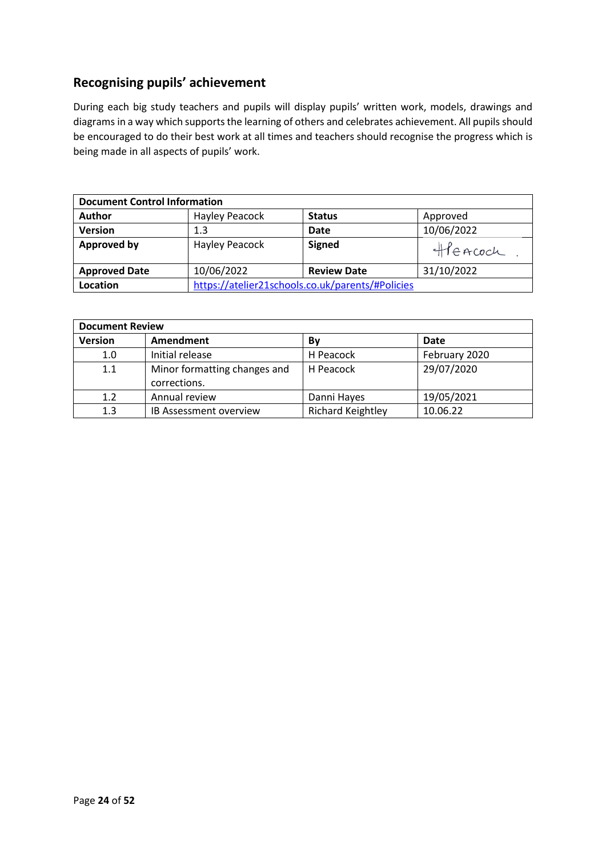# **Recognising pupils' achievement**

During each big study teachers and pupils will display pupils' written work, models, drawings and diagrams in a way which supports the learning of others and celebrates achievement. All pupils should be encouraged to do their best work at all times and teachers should recognise the progress which is being made in all aspects of pupils' work.

| <b>Document Control Information</b> |                                                  |                    |            |
|-------------------------------------|--------------------------------------------------|--------------------|------------|
| <b>Author</b>                       | Hayley Peacock                                   | <b>Status</b>      | Approved   |
| <b>Version</b>                      | 1.3                                              | Date               | 10/06/2022 |
| <b>Approved by</b>                  | Hayley Peacock                                   | <b>Signed</b>      | Heacoch    |
| <b>Approved Date</b>                | 10/06/2022                                       | <b>Review Date</b> | 31/10/2022 |
| Location                            | https://atelier21schools.co.uk/parents/#Policies |                    |            |

| <b>Document Review</b> |                                              |                          |               |
|------------------------|----------------------------------------------|--------------------------|---------------|
| <b>Version</b>         | Amendment                                    | Βv                       | Date          |
| 1.0                    | Initial release                              | H Peacock                | February 2020 |
| 1.1                    | Minor formatting changes and<br>corrections. | H Peacock                | 29/07/2020    |
| 1.2                    | Annual review                                | Danni Hayes              | 19/05/2021    |
| 1.3                    | <b>IB Assessment overview</b>                | <b>Richard Keightley</b> | 10.06.22      |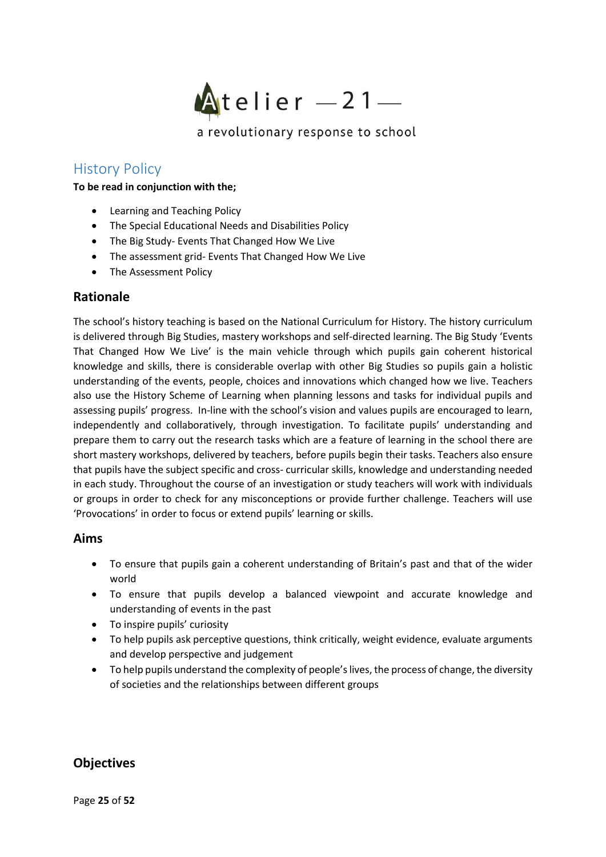

# <span id="page-24-0"></span>History Policy

#### **To be read in conjunction with the;**

- Learning and Teaching Policy
- The Special Educational Needs and Disabilities Policy
- The Big Study- Events That Changed How We Live
- The assessment grid- Events That Changed How We Live
- The Assessment Policy

## **Rationale**

The school's history teaching is based on the National Curriculum for History. The history curriculum is delivered through Big Studies, mastery workshops and self-directed learning. The Big Study 'Events That Changed How We Live' is the main vehicle through which pupils gain coherent historical knowledge and skills, there is considerable overlap with other Big Studies so pupils gain a holistic understanding of the events, people, choices and innovations which changed how we live. Teachers also use the History Scheme of Learning when planning lessons and tasks for individual pupils and assessing pupils' progress. In-line with the school's vision and values pupils are encouraged to learn, independently and collaboratively, through investigation. To facilitate pupils' understanding and prepare them to carry out the research tasks which are a feature of learning in the school there are short mastery workshops, delivered by teachers, before pupils begin their tasks. Teachers also ensure that pupils have the subject specific and cross- curricular skills, knowledge and understanding needed in each study. Throughout the course of an investigation or study teachers will work with individuals or groups in order to check for any misconceptions or provide further challenge. Teachers will use 'Provocations' in order to focus or extend pupils' learning or skills.

### **Aims**

- To ensure that pupils gain a coherent understanding of Britain's past and that of the wider world
- To ensure that pupils develop a balanced viewpoint and accurate knowledge and understanding of events in the past
- To inspire pupils' curiosity
- To help pupils ask perceptive questions, think critically, weight evidence, evaluate arguments and develop perspective and judgement
- To help pupils understand the complexity of people's lives, the process of change, the diversity of societies and the relationships between different groups

### **Objectives**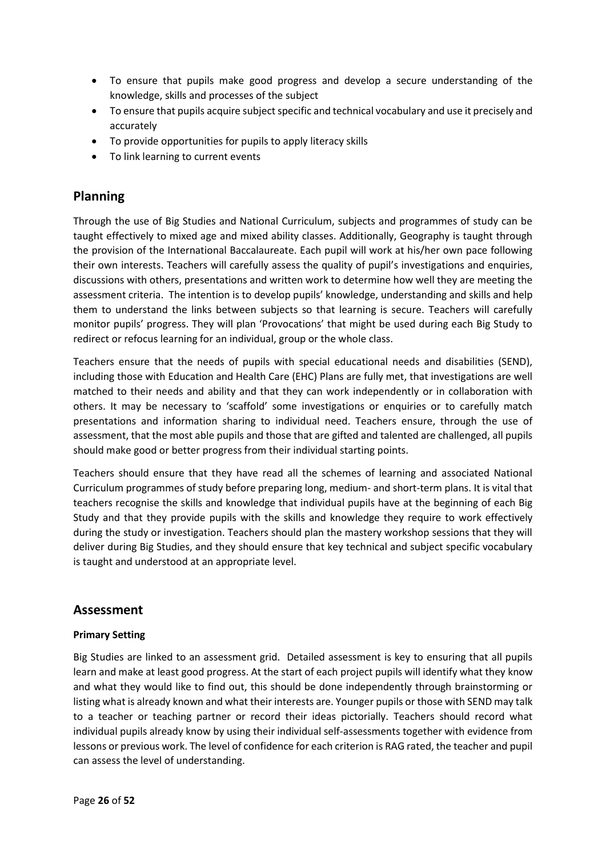- To ensure that pupils make good progress and develop a secure understanding of the knowledge, skills and processes of the subject
- To ensure that pupils acquire subject specific and technical vocabulary and use it precisely and accurately
- To provide opportunities for pupils to apply literacy skills
- To link learning to current events

# **Planning**

Through the use of Big Studies and National Curriculum, subjects and programmes of study can be taught effectively to mixed age and mixed ability classes. Additionally, Geography is taught through the provision of the International Baccalaureate. Each pupil will work at his/her own pace following their own interests. Teachers will carefully assess the quality of pupil's investigations and enquiries, discussions with others, presentations and written work to determine how well they are meeting the assessment criteria. The intention is to develop pupils' knowledge, understanding and skills and help them to understand the links between subjects so that learning is secure. Teachers will carefully monitor pupils' progress. They will plan 'Provocations' that might be used during each Big Study to redirect or refocus learning for an individual, group or the whole class.

Teachers ensure that the needs of pupils with special educational needs and disabilities (SEND), including those with Education and Health Care (EHC) Plans are fully met, that investigations are well matched to their needs and ability and that they can work independently or in collaboration with others. It may be necessary to 'scaffold' some investigations or enquiries or to carefully match presentations and information sharing to individual need. Teachers ensure, through the use of assessment, that the most able pupils and those that are gifted and talented are challenged, all pupils should make good or better progress from their individual starting points.

Teachers should ensure that they have read all the schemes of learning and associated National Curriculum programmes of study before preparing long, medium- and short-term plans. It is vital that teachers recognise the skills and knowledge that individual pupils have at the beginning of each Big Study and that they provide pupils with the skills and knowledge they require to work effectively during the study or investigation. Teachers should plan the mastery workshop sessions that they will deliver during Big Studies, and they should ensure that key technical and subject specific vocabulary is taught and understood at an appropriate level.

### **Assessment**

### **Primary Setting**

Big Studies are linked to an assessment grid. Detailed assessment is key to ensuring that all pupils learn and make at least good progress. At the start of each project pupils will identify what they know and what they would like to find out, this should be done independently through brainstorming or listing what is already known and what their interests are. Younger pupils or those with SEND may talk to a teacher or teaching partner or record their ideas pictorially. Teachers should record what individual pupils already know by using their individual self-assessments together with evidence from lessons or previous work. The level of confidence for each criterion is RAG rated, the teacher and pupil can assess the level of understanding.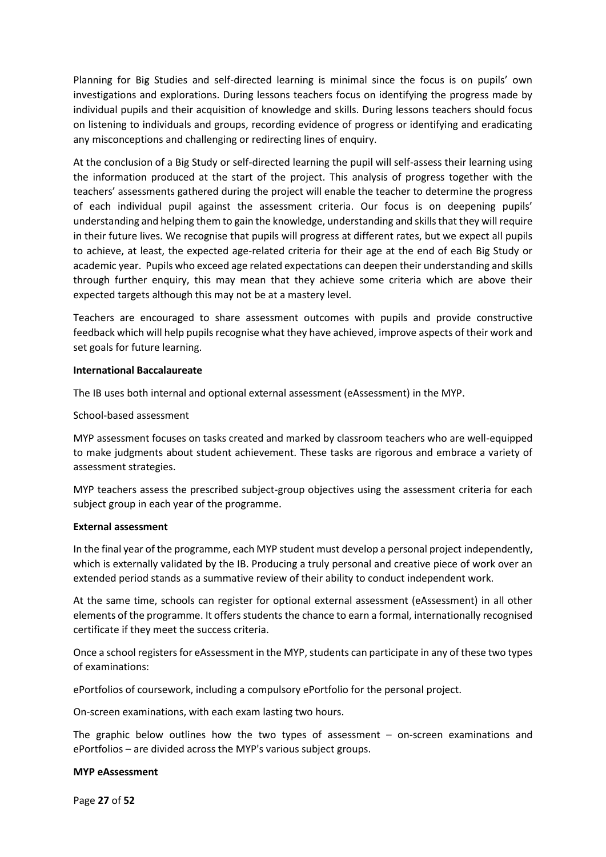Planning for Big Studies and self-directed learning is minimal since the focus is on pupils' own investigations and explorations. During lessons teachers focus on identifying the progress made by individual pupils and their acquisition of knowledge and skills. During lessons teachers should focus on listening to individuals and groups, recording evidence of progress or identifying and eradicating any misconceptions and challenging or redirecting lines of enquiry.

At the conclusion of a Big Study or self-directed learning the pupil will self-assess their learning using the information produced at the start of the project. This analysis of progress together with the teachers' assessments gathered during the project will enable the teacher to determine the progress of each individual pupil against the assessment criteria. Our focus is on deepening pupils' understanding and helping them to gain the knowledge, understanding and skills that they will require in their future lives. We recognise that pupils will progress at different rates, but we expect all pupils to achieve, at least, the expected age-related criteria for their age at the end of each Big Study or academic year. Pupils who exceed age related expectations can deepen their understanding and skills through further enquiry, this may mean that they achieve some criteria which are above their expected targets although this may not be at a mastery level.

Teachers are encouraged to share assessment outcomes with pupils and provide constructive feedback which will help pupils recognise what they have achieved, improve aspects of their work and set goals for future learning.

#### **International Baccalaureate**

The IB uses both internal and optional external assessment (eAssessment) in the MYP.

School-based assessment

MYP assessment focuses on tasks created and marked by classroom teachers who are well-equipped to make judgments about student achievement. These tasks are rigorous and embrace a variety of assessment strategies.

MYP teachers assess the prescribed subject-group objectives using the assessment criteria for each subject group in each year of the programme.

#### **External assessment**

In the final year of the programme, each MYP student must develop a personal project independently, which is externally validated by the IB. Producing a truly personal and creative piece of work over an extended period stands as a summative review of their ability to conduct independent work.

At the same time, schools can register for optional external assessment (eAssessment) in all other elements of the programme. It offers students the chance to earn a formal, internationally recognised certificate if they meet the success criteria.

Once a school registers for eAssessment in the MYP, students can participate in any of these two types of examinations:

ePortfolios of coursework, including a compulsory ePortfolio for the personal project.

On-screen examinations, with each exam lasting two hours.

The graphic below outlines how the two types of assessment  $-$  on-screen examinations and ePortfolios – are divided across the MYP's various subject groups.

#### **MYP eAssessment**

Page **27** of **52**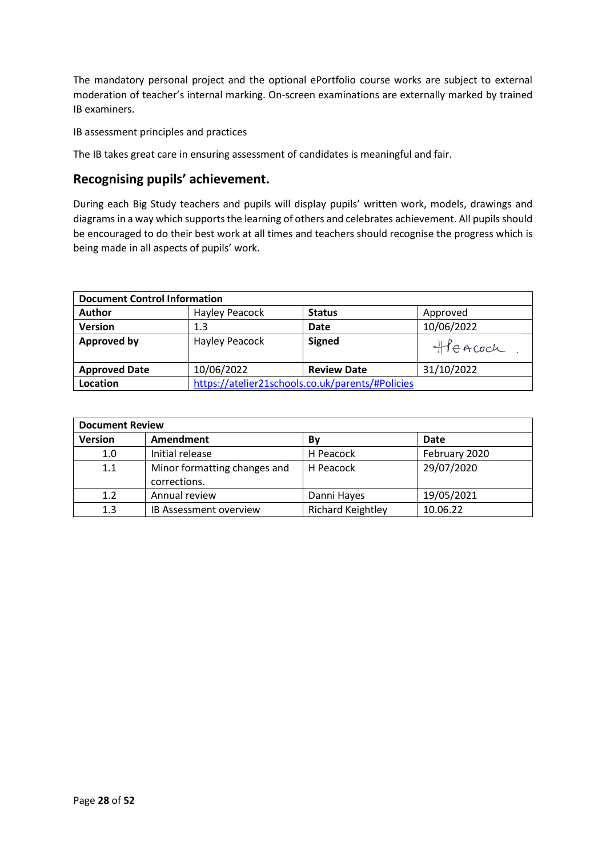The mandatory personal project and the optional ePortfolio course works are subject to external moderation of teacher's internal marking. On-screen examinations are externally marked by trained IB examiners.

IB assessment principles and practices

The IB takes great care in ensuring assessment of candidates is meaningful and fair.

# **Recognising pupils' achievement.**

During each Big Study teachers and pupils will display pupils' written work, models, drawings and diagrams in a way which supports the learning of others and celebrates achievement. All pupils should be encouraged to do their best work at all times and teachers should recognise the progress which is being made in all aspects of pupils' work.

| <b>Document Control Information</b> |                                                  |                    |            |
|-------------------------------------|--------------------------------------------------|--------------------|------------|
| <b>Author</b>                       | Hayley Peacock                                   | <b>Status</b>      | Approved   |
| <b>Version</b>                      | 1.3                                              | <b>Date</b>        | 10/06/2022 |
| <b>Approved by</b>                  | Hayley Peacock                                   | <b>Signed</b>      | Heacoch    |
| <b>Approved Date</b>                | 10/06/2022                                       | <b>Review Date</b> | 31/10/2022 |
| Location                            | https://atelier21schools.co.uk/parents/#Policies |                    |            |

| <b>Document Review</b> |                               |                          |               |
|------------------------|-------------------------------|--------------------------|---------------|
| <b>Version</b>         | Amendment                     | By                       | Date          |
| 1.0                    | Initial release               | H Peacock                | February 2020 |
| 1.1                    | Minor formatting changes and  | H Peacock                | 29/07/2020    |
|                        | corrections.                  |                          |               |
| 1.2                    | Annual review                 | Danni Hayes              | 19/05/2021    |
| 1.3                    | <b>IB Assessment overview</b> | <b>Richard Keightley</b> | 10.06.22      |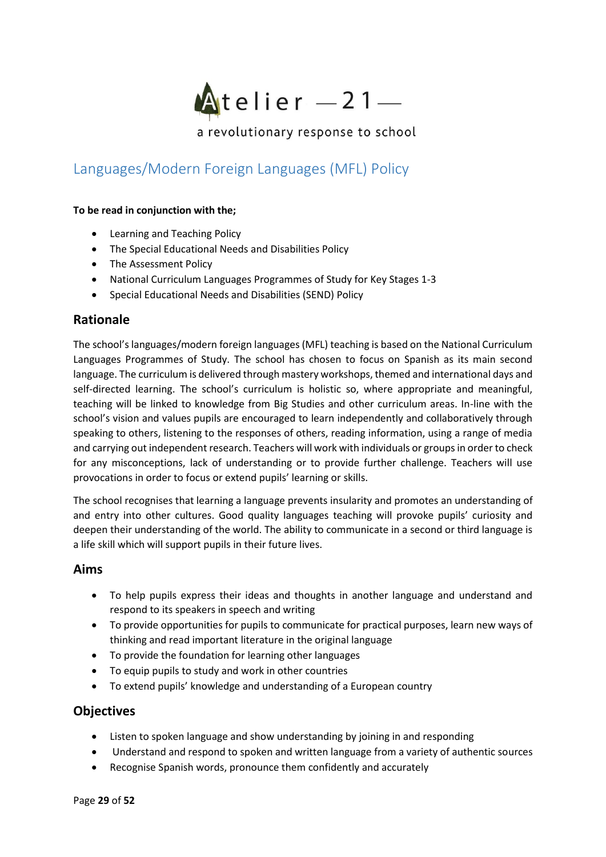

# <span id="page-28-0"></span>Languages/Modern Foreign Languages (MFL) Policy

#### **To be read in conjunction with the;**

- Learning and Teaching Policy
- The Special Educational Needs and Disabilities Policy
- The Assessment Policy
- National Curriculum Languages Programmes of Study for Key Stages 1-3
- Special Educational Needs and Disabilities (SEND) Policy

### **Rationale**

The school's languages/modern foreign languages (MFL) teaching is based on the National Curriculum Languages Programmes of Study. The school has chosen to focus on Spanish as its main second language. The curriculum is delivered through mastery workshops, themed and international days and self-directed learning. The school's curriculum is holistic so, where appropriate and meaningful, teaching will be linked to knowledge from Big Studies and other curriculum areas. In-line with the school's vision and values pupils are encouraged to learn independently and collaboratively through speaking to others, listening to the responses of others, reading information, using a range of media and carrying out independent research. Teachers will work with individuals or groups in order to check for any misconceptions, lack of understanding or to provide further challenge. Teachers will use provocations in order to focus or extend pupils' learning or skills.

The school recognises that learning a language prevents insularity and promotes an understanding of and entry into other cultures. Good quality languages teaching will provoke pupils' curiosity and deepen their understanding of the world. The ability to communicate in a second or third language is a life skill which will support pupils in their future lives.

### **Aims**

- To help pupils express their ideas and thoughts in another language and understand and respond to its speakers in speech and writing
- To provide opportunities for pupils to communicate for practical purposes, learn new ways of thinking and read important literature in the original language
- To provide the foundation for learning other languages
- To equip pupils to study and work in other countries
- To extend pupils' knowledge and understanding of a European country

### **Objectives**

- Listen to spoken language and show understanding by joining in and responding
- Understand and respond to spoken and written language from a variety of authentic sources
- Recognise Spanish words, pronounce them confidently and accurately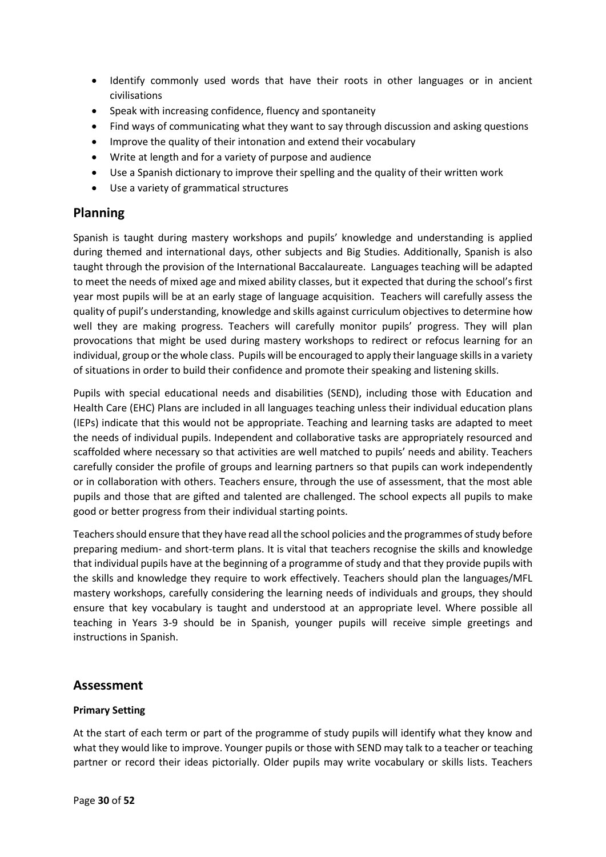- Identify commonly used words that have their roots in other languages or in ancient civilisations
- Speak with increasing confidence, fluency and spontaneity
- Find ways of communicating what they want to say through discussion and asking questions
- Improve the quality of their intonation and extend their vocabulary
- Write at length and for a variety of purpose and audience
- Use a Spanish dictionary to improve their spelling and the quality of their written work
- Use a variety of grammatical structures

## **Planning**

Spanish is taught during mastery workshops and pupils' knowledge and understanding is applied during themed and international days, other subjects and Big Studies. Additionally, Spanish is also taught through the provision of the International Baccalaureate. Languages teaching will be adapted to meet the needs of mixed age and mixed ability classes, but it expected that during the school's first year most pupils will be at an early stage of language acquisition. Teachers will carefully assess the quality of pupil's understanding, knowledge and skills against curriculum objectives to determine how well they are making progress. Teachers will carefully monitor pupils' progress. They will plan provocations that might be used during mastery workshops to redirect or refocus learning for an individual, group or the whole class. Pupils will be encouraged to apply their language skills in a variety of situations in order to build their confidence and promote their speaking and listening skills.

Pupils with special educational needs and disabilities (SEND), including those with Education and Health Care (EHC) Plans are included in all languages teaching unless their individual education plans (IEPs) indicate that this would not be appropriate. Teaching and learning tasks are adapted to meet the needs of individual pupils. Independent and collaborative tasks are appropriately resourced and scaffolded where necessary so that activities are well matched to pupils' needs and ability. Teachers carefully consider the profile of groups and learning partners so that pupils can work independently or in collaboration with others. Teachers ensure, through the use of assessment, that the most able pupils and those that are gifted and talented are challenged. The school expects all pupils to make good or better progress from their individual starting points.

Teachers should ensure that they have read all the school policies and the programmes of study before preparing medium- and short-term plans. It is vital that teachers recognise the skills and knowledge that individual pupils have at the beginning of a programme of study and that they provide pupils with the skills and knowledge they require to work effectively. Teachers should plan the languages/MFL mastery workshops, carefully considering the learning needs of individuals and groups, they should ensure that key vocabulary is taught and understood at an appropriate level. Where possible all teaching in Years 3-9 should be in Spanish, younger pupils will receive simple greetings and instructions in Spanish.

### **Assessment**

### **Primary Setting**

At the start of each term or part of the programme of study pupils will identify what they know and what they would like to improve. Younger pupils or those with SEND may talk to a teacher or teaching partner or record their ideas pictorially. Older pupils may write vocabulary or skills lists. Teachers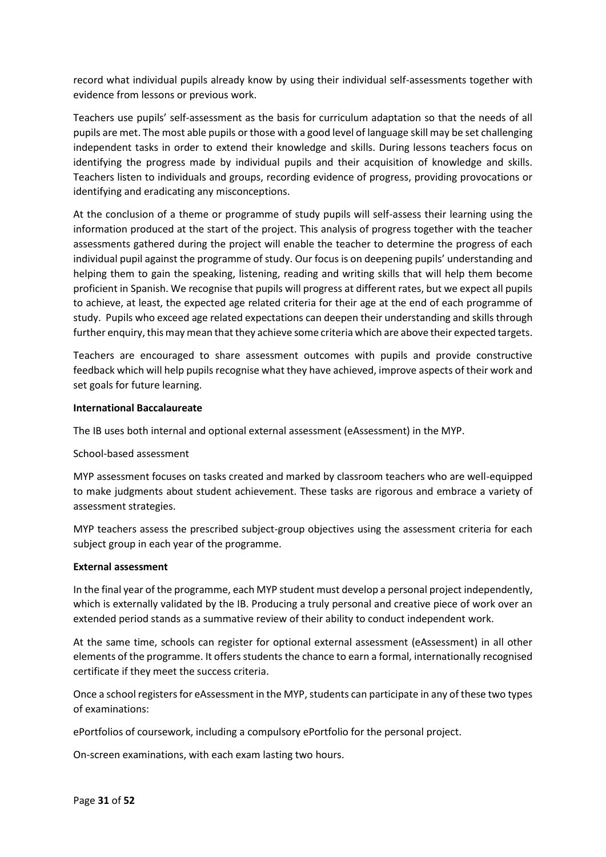record what individual pupils already know by using their individual self-assessments together with evidence from lessons or previous work.

Teachers use pupils' self-assessment as the basis for curriculum adaptation so that the needs of all pupils are met. The most able pupils or those with a good level of language skill may be set challenging independent tasks in order to extend their knowledge and skills. During lessons teachers focus on identifying the progress made by individual pupils and their acquisition of knowledge and skills. Teachers listen to individuals and groups, recording evidence of progress, providing provocations or identifying and eradicating any misconceptions.

At the conclusion of a theme or programme of study pupils will self-assess their learning using the information produced at the start of the project. This analysis of progress together with the teacher assessments gathered during the project will enable the teacher to determine the progress of each individual pupil against the programme of study. Our focus is on deepening pupils' understanding and helping them to gain the speaking, listening, reading and writing skills that will help them become proficient in Spanish. We recognise that pupils will progress at different rates, but we expect all pupils to achieve, at least, the expected age related criteria for their age at the end of each programme of study. Pupils who exceed age related expectations can deepen their understanding and skills through further enquiry, this may mean that they achieve some criteria which are above their expected targets.

Teachers are encouraged to share assessment outcomes with pupils and provide constructive feedback which will help pupils recognise what they have achieved, improve aspects of their work and set goals for future learning.

#### **International Baccalaureate**

The IB uses both internal and optional external assessment (eAssessment) in the MYP.

#### School-based assessment

MYP assessment focuses on tasks created and marked by classroom teachers who are well-equipped to make judgments about student achievement. These tasks are rigorous and embrace a variety of assessment strategies.

MYP teachers assess the prescribed subject-group objectives using the assessment criteria for each subject group in each year of the programme.

#### **External assessment**

In the final year of the programme, each MYP student must develop a personal project independently, which is externally validated by the IB. Producing a truly personal and creative piece of work over an extended period stands as a summative review of their ability to conduct independent work.

At the same time, schools can register for optional external assessment (eAssessment) in all other elements of the programme. It offers students the chance to earn a formal, internationally recognised certificate if they meet the success criteria.

Once a school registers for eAssessment in the MYP, students can participate in any of these two types of examinations:

ePortfolios of coursework, including a compulsory ePortfolio for the personal project.

On-screen examinations, with each exam lasting two hours.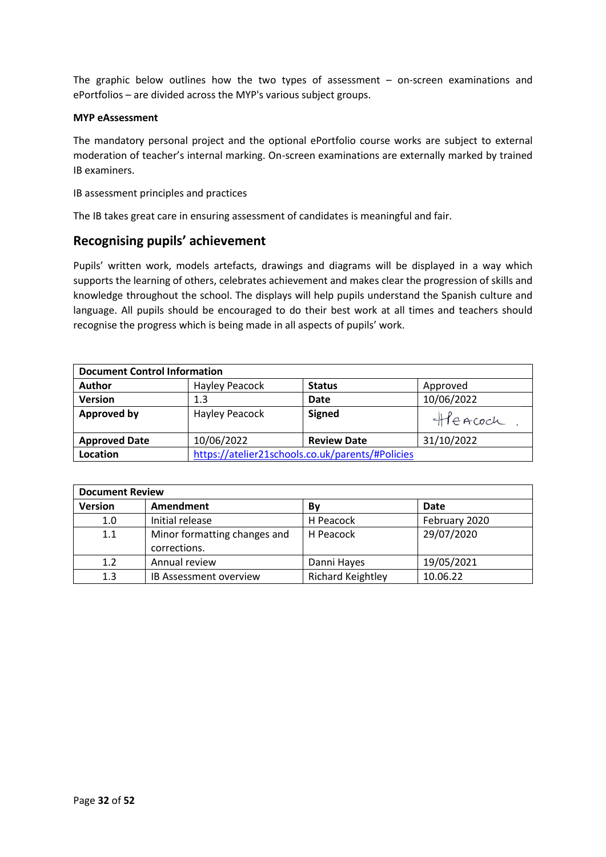The graphic below outlines how the two types of assessment – on-screen examinations and ePortfolios – are divided across the MYP's various subject groups.

#### **MYP eAssessment**

The mandatory personal project and the optional ePortfolio course works are subject to external moderation of teacher's internal marking. On-screen examinations are externally marked by trained IB examiners.

IB assessment principles and practices

The IB takes great care in ensuring assessment of candidates is meaningful and fair.

### **Recognising pupils' achievement**

Pupils' written work, models artefacts, drawings and diagrams will be displayed in a way which supports the learning of others, celebrates achievement and makes clear the progression of skills and knowledge throughout the school. The displays will help pupils understand the Spanish culture and language. All pupils should be encouraged to do their best work at all times and teachers should recognise the progress which is being made in all aspects of pupils' work.

| <b>Document Control Information</b> |                       |                                                  |            |
|-------------------------------------|-----------------------|--------------------------------------------------|------------|
| <b>Author</b>                       | <b>Hayley Peacock</b> | <b>Status</b>                                    | Approved   |
| <b>Version</b>                      | 1.3                   | Date                                             | 10/06/2022 |
| <b>Approved by</b>                  | Hayley Peacock        | <b>Signed</b>                                    | Heacoch    |
| <b>Approved Date</b>                | 10/06/2022            | <b>Review Date</b>                               | 31/10/2022 |
| Location                            |                       | https://atelier21schools.co.uk/parents/#Policies |            |

| <b>Document Review</b> |                              |                          |               |  |
|------------------------|------------------------------|--------------------------|---------------|--|
| <b>Version</b>         | Amendment                    | Bν                       | Date          |  |
| 1.0                    | Initial release              | H Peacock                | February 2020 |  |
| 1.1                    | Minor formatting changes and | H Peacock                | 29/07/2020    |  |
|                        | corrections.                 |                          |               |  |
| 1.2                    | Annual review                | Danni Hayes              | 19/05/2021    |  |
| 1.3                    | IB Assessment overview       | <b>Richard Keightley</b> | 10.06.22      |  |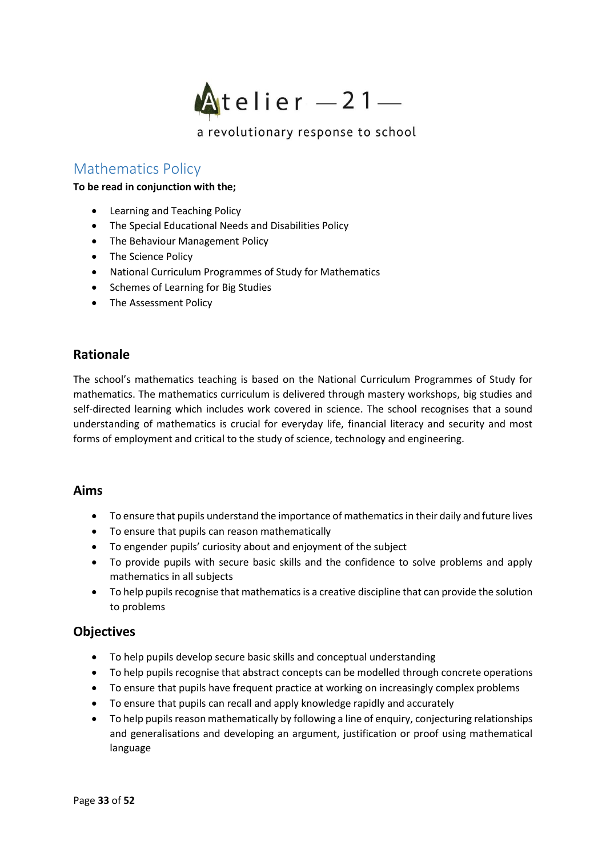

# <span id="page-32-0"></span>Mathematics Policy

#### **To be read in conjunction with the;**

- Learning and Teaching Policy
- The Special Educational Needs and Disabilities Policy
- The Behaviour Management Policy
- The Science Policy
- National Curriculum Programmes of Study for Mathematics
- Schemes of Learning for Big Studies
- The Assessment Policy

### **Rationale**

The school's mathematics teaching is based on the National Curriculum Programmes of Study for mathematics. The mathematics curriculum is delivered through mastery workshops, big studies and self-directed learning which includes work covered in science. The school recognises that a sound understanding of mathematics is crucial for everyday life, financial literacy and security and most forms of employment and critical to the study of science, technology and engineering.

### **Aims**

- To ensure that pupils understand the importance of mathematics in their daily and future lives
- To ensure that pupils can reason mathematically
- To engender pupils' curiosity about and enjoyment of the subject
- To provide pupils with secure basic skills and the confidence to solve problems and apply mathematics in all subjects
- To help pupils recognise that mathematics is a creative discipline that can provide the solution to problems

### **Objectives**

- To help pupils develop secure basic skills and conceptual understanding
- To help pupils recognise that abstract concepts can be modelled through concrete operations
- To ensure that pupils have frequent practice at working on increasingly complex problems
- To ensure that pupils can recall and apply knowledge rapidly and accurately
- To help pupils reason mathematically by following a line of enquiry, conjecturing relationships and generalisations and developing an argument, justification or proof using mathematical language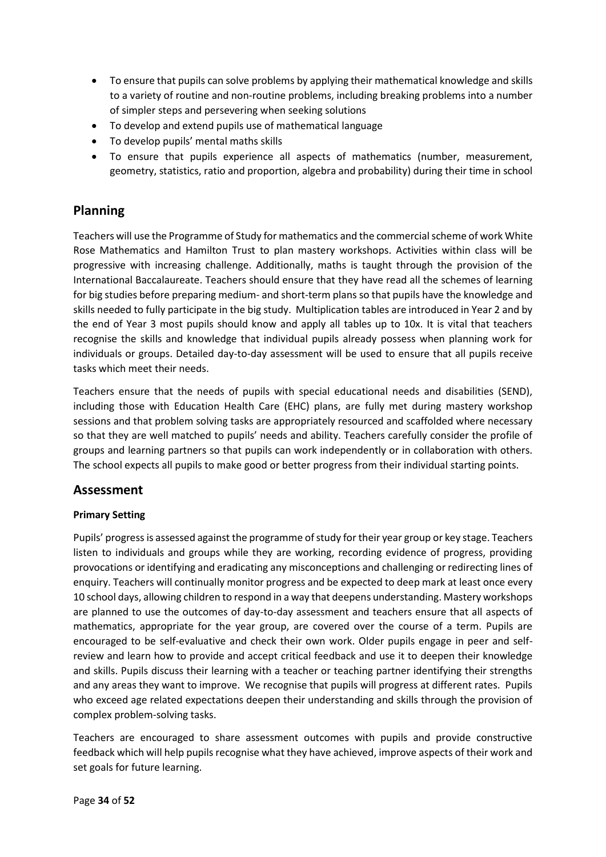- To ensure that pupils can solve problems by applying their mathematical knowledge and skills to a variety of routine and non-routine problems, including breaking problems into a number of simpler steps and persevering when seeking solutions
- To develop and extend pupils use of mathematical language
- To develop pupils' mental maths skills
- To ensure that pupils experience all aspects of mathematics (number, measurement, geometry, statistics, ratio and proportion, algebra and probability) during their time in school

## **Planning**

Teachers will use the Programme of Study for mathematics and the commercial scheme of work White Rose Mathematics and Hamilton Trust to plan mastery workshops. Activities within class will be progressive with increasing challenge. Additionally, maths is taught through the provision of the International Baccalaureate. Teachers should ensure that they have read all the schemes of learning for big studies before preparing medium- and short-term plans so that pupils have the knowledge and skills needed to fully participate in the big study. Multiplication tables are introduced in Year 2 and by the end of Year 3 most pupils should know and apply all tables up to 10x. It is vital that teachers recognise the skills and knowledge that individual pupils already possess when planning work for individuals or groups. Detailed day-to-day assessment will be used to ensure that all pupils receive tasks which meet their needs.

Teachers ensure that the needs of pupils with special educational needs and disabilities (SEND), including those with Education Health Care (EHC) plans, are fully met during mastery workshop sessions and that problem solving tasks are appropriately resourced and scaffolded where necessary so that they are well matched to pupils' needs and ability. Teachers carefully consider the profile of groups and learning partners so that pupils can work independently or in collaboration with others. The school expects all pupils to make good or better progress from their individual starting points.

### **Assessment**

### **Primary Setting**

Pupils' progress is assessed against the programme of study for their year group or key stage. Teachers listen to individuals and groups while they are working, recording evidence of progress, providing provocations or identifying and eradicating any misconceptions and challenging or redirecting lines of enquiry. Teachers will continually monitor progress and be expected to deep mark at least once every 10 school days, allowing children to respond in a way that deepens understanding. Mastery workshops are planned to use the outcomes of day-to-day assessment and teachers ensure that all aspects of mathematics, appropriate for the year group, are covered over the course of a term. Pupils are encouraged to be self-evaluative and check their own work. Older pupils engage in peer and selfreview and learn how to provide and accept critical feedback and use it to deepen their knowledge and skills. Pupils discuss their learning with a teacher or teaching partner identifying their strengths and any areas they want to improve. We recognise that pupils will progress at different rates. Pupils who exceed age related expectations deepen their understanding and skills through the provision of complex problem-solving tasks.

Teachers are encouraged to share assessment outcomes with pupils and provide constructive feedback which will help pupils recognise what they have achieved, improve aspects of their work and set goals for future learning.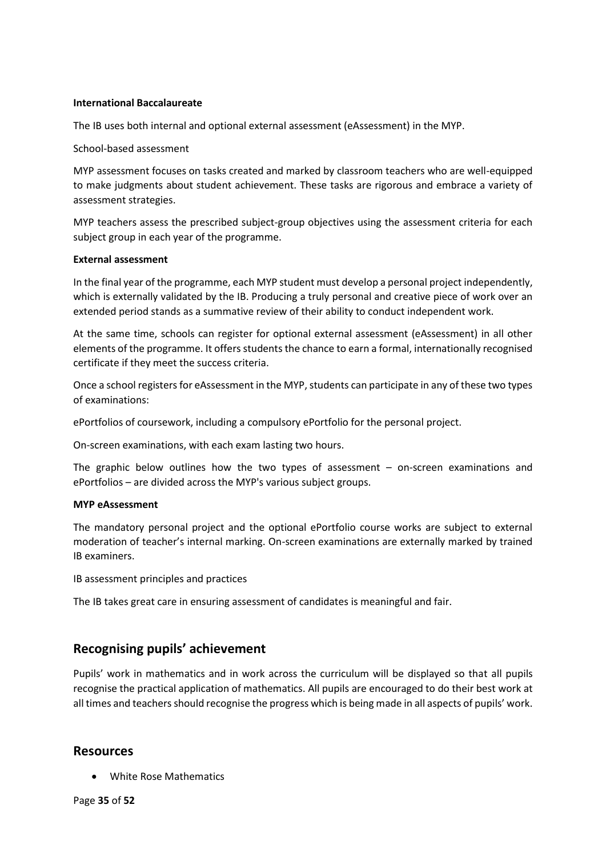#### **International Baccalaureate**

The IB uses both internal and optional external assessment (eAssessment) in the MYP.

School-based assessment

MYP assessment focuses on tasks created and marked by classroom teachers who are well-equipped to make judgments about student achievement. These tasks are rigorous and embrace a variety of assessment strategies.

MYP teachers assess the prescribed subject-group objectives using the assessment criteria for each subject group in each year of the programme.

#### **External assessment**

In the final year of the programme, each MYP student must develop a personal project independently, which is externally validated by the IB. Producing a truly personal and creative piece of work over an extended period stands as a summative review of their ability to conduct independent work.

At the same time, schools can register for optional external assessment (eAssessment) in all other elements of the programme. It offers students the chance to earn a formal, internationally recognised certificate if they meet the success criteria.

Once a school registers for eAssessment in the MYP, students can participate in any of these two types of examinations:

ePortfolios of coursework, including a compulsory ePortfolio for the personal project.

On-screen examinations, with each exam lasting two hours.

The graphic below outlines how the two types of assessment  $-$  on-screen examinations and ePortfolios – are divided across the MYP's various subject groups.

#### **MYP eAssessment**

The mandatory personal project and the optional ePortfolio course works are subject to external moderation of teacher's internal marking. On-screen examinations are externally marked by trained IB examiners.

IB assessment principles and practices

The IB takes great care in ensuring assessment of candidates is meaningful and fair.

### **Recognising pupils' achievement**

Pupils' work in mathematics and in work across the curriculum will be displayed so that all pupils recognise the practical application of mathematics. All pupils are encouraged to do their best work at all times and teachers should recognise the progress which is being made in all aspects of pupils' work.

### **Resources**

• White Rose Mathematics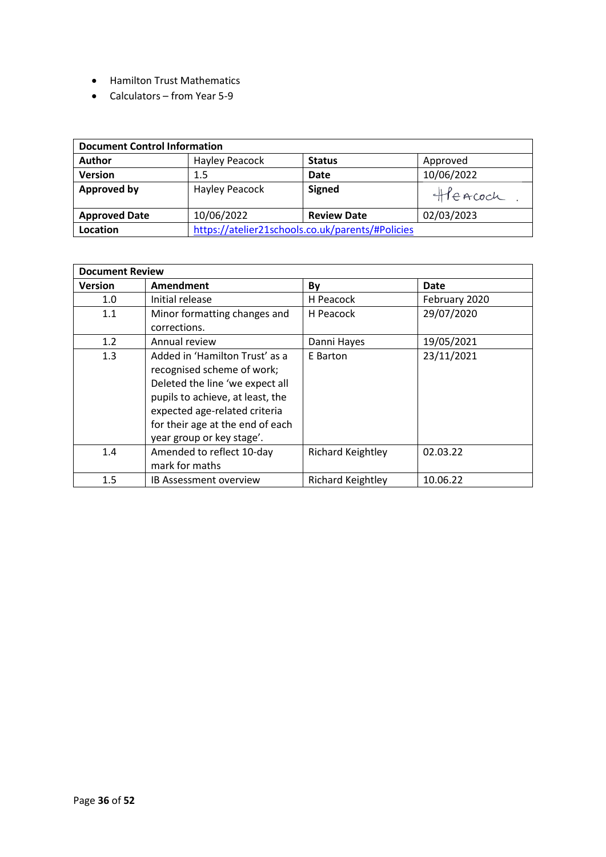- Hamilton Trust Mathematics
- Calculators from Year 5-9

| <b>Document Control Information</b> |                                                  |                    |            |
|-------------------------------------|--------------------------------------------------|--------------------|------------|
| <b>Author</b>                       | Hayley Peacock                                   | <b>Status</b>      | Approved   |
| <b>Version</b>                      | 1.5                                              | <b>Date</b>        | 10/06/2022 |
| <b>Approved by</b>                  | <b>Hayley Peacock</b>                            | <b>Signed</b>      | Heacoch    |
| <b>Approved Date</b>                | 10/06/2022                                       | <b>Review Date</b> | 02/03/2023 |
| Location                            | https://atelier21schools.co.uk/parents/#Policies |                    |            |

| <b>Document Review</b> |                                                                                                                                                                                                                                       |                          |               |
|------------------------|---------------------------------------------------------------------------------------------------------------------------------------------------------------------------------------------------------------------------------------|--------------------------|---------------|
| <b>Version</b>         | Amendment                                                                                                                                                                                                                             | By                       | Date          |
| 1.0                    | Initial release                                                                                                                                                                                                                       | H Peacock                | February 2020 |
| 1.1                    | Minor formatting changes and<br>corrections.                                                                                                                                                                                          | H Peacock                | 29/07/2020    |
| 1.2                    | Annual review                                                                                                                                                                                                                         | Danni Hayes              | 19/05/2021    |
| 1.3                    | Added in 'Hamilton Trust' as a<br>recognised scheme of work;<br>Deleted the line 'we expect all<br>pupils to achieve, at least, the<br>expected age-related criteria<br>for their age at the end of each<br>year group or key stage'. | E Barton                 | 23/11/2021    |
| 1.4                    | Amended to reflect 10-day<br>mark for maths                                                                                                                                                                                           | <b>Richard Keightley</b> | 02.03.22      |
| 1.5                    | <b>IB Assessment overview</b>                                                                                                                                                                                                         | <b>Richard Keightley</b> | 10.06.22      |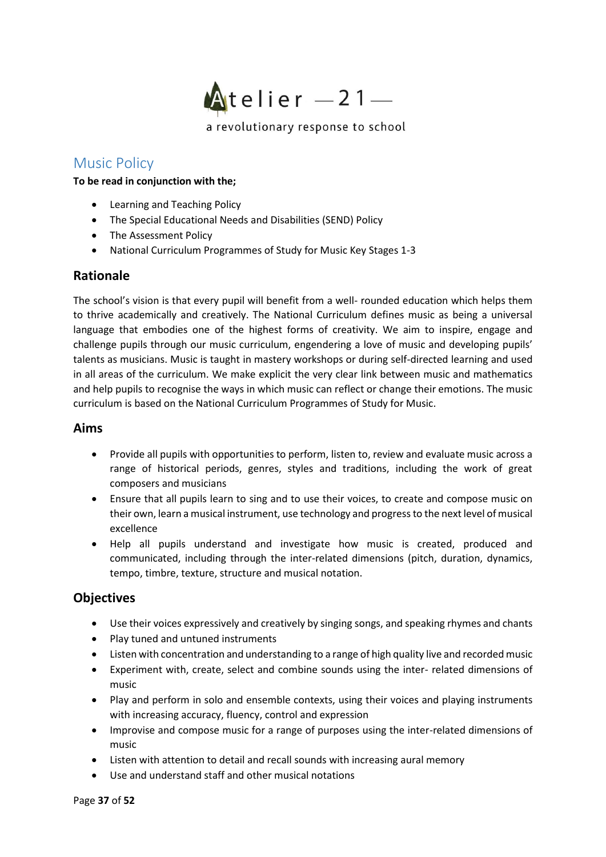

# <span id="page-36-0"></span>Music Policy

**To be read in conjunction with the;**

- Learning and Teaching Policy
- The Special Educational Needs and Disabilities (SEND) Policy
- The Assessment Policy
- National Curriculum Programmes of Study for Music Key Stages 1-3

### **Rationale**

The school's vision is that every pupil will benefit from a well- rounded education which helps them to thrive academically and creatively. The National Curriculum defines music as being a universal language that embodies one of the highest forms of creativity. We aim to inspire, engage and challenge pupils through our music curriculum, engendering a love of music and developing pupils' talents as musicians. Music is taught in mastery workshops or during self-directed learning and used in all areas of the curriculum. We make explicit the very clear link between music and mathematics and help pupils to recognise the ways in which music can reflect or change their emotions. The music curriculum is based on the National Curriculum Programmes of Study for Music.

### **Aims**

- Provide all pupils with opportunities to perform, listen to, review and evaluate music across a range of historical periods, genres, styles and traditions, including the work of great composers and musicians
- Ensure that all pupils learn to sing and to use their voices, to create and compose music on their own, learn a musical instrument, use technology and progress to the next level of musical excellence
- Help all pupils understand and investigate how music is created, produced and communicated, including through the inter-related dimensions (pitch, duration, dynamics, tempo, timbre, texture, structure and musical notation.

### **Objectives**

- Use their voices expressively and creatively by singing songs, and speaking rhymes and chants
- Play tuned and untuned instruments
- Listen with concentration and understanding to a range of high quality live and recorded music
- Experiment with, create, select and combine sounds using the inter- related dimensions of music
- Play and perform in solo and ensemble contexts, using their voices and playing instruments with increasing accuracy, fluency, control and expression
- Improvise and compose music for a range of purposes using the inter-related dimensions of music
- Listen with attention to detail and recall sounds with increasing aural memory
- Use and understand staff and other musical notations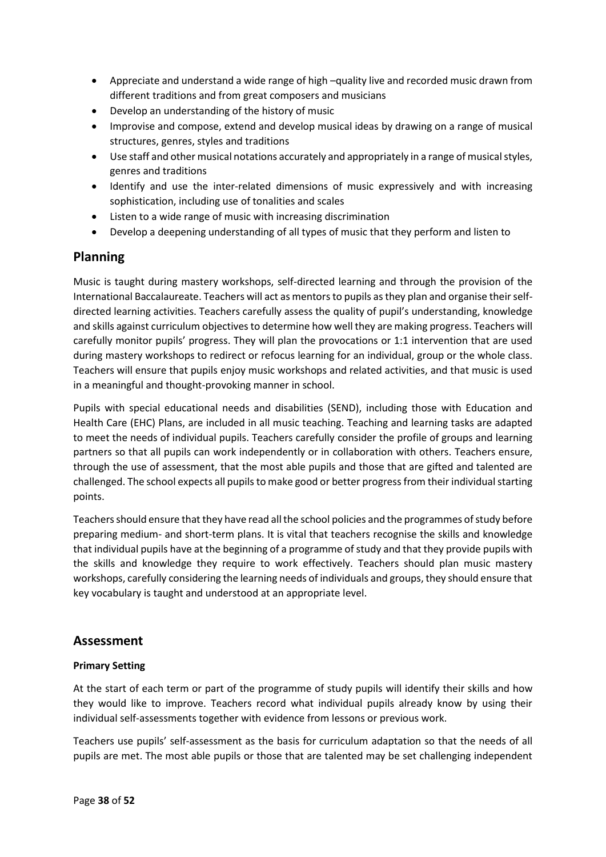- Appreciate and understand a wide range of high –quality live and recorded music drawn from different traditions and from great composers and musicians
- Develop an understanding of the history of music
- Improvise and compose, extend and develop musical ideas by drawing on a range of musical structures, genres, styles and traditions
- Use staff and other musical notations accurately and appropriately in a range of musical styles, genres and traditions
- Identify and use the inter-related dimensions of music expressively and with increasing sophistication, including use of tonalities and scales
- Listen to a wide range of music with increasing discrimination
- Develop a deepening understanding of all types of music that they perform and listen to

# **Planning**

Music is taught during mastery workshops, self-directed learning and through the provision of the International Baccalaureate. Teachers will act as mentors to pupils as they plan and organise their selfdirected learning activities. Teachers carefully assess the quality of pupil's understanding, knowledge and skills against curriculum objectives to determine how well they are making progress. Teachers will carefully monitor pupils' progress. They will plan the provocations or 1:1 intervention that are used during mastery workshops to redirect or refocus learning for an individual, group or the whole class. Teachers will ensure that pupils enjoy music workshops and related activities, and that music is used in a meaningful and thought-provoking manner in school.

Pupils with special educational needs and disabilities (SEND), including those with Education and Health Care (EHC) Plans, are included in all music teaching. Teaching and learning tasks are adapted to meet the needs of individual pupils. Teachers carefully consider the profile of groups and learning partners so that all pupils can work independently or in collaboration with others. Teachers ensure, through the use of assessment, that the most able pupils and those that are gifted and talented are challenged. The school expects all pupils to make good or better progress from their individual starting points.

Teachers should ensure that they have read all the school policies and the programmes of study before preparing medium- and short-term plans. It is vital that teachers recognise the skills and knowledge that individual pupils have at the beginning of a programme of study and that they provide pupils with the skills and knowledge they require to work effectively. Teachers should plan music mastery workshops, carefully considering the learning needs of individuals and groups, they should ensure that key vocabulary is taught and understood at an appropriate level.

### **Assessment**

### **Primary Setting**

At the start of each term or part of the programme of study pupils will identify their skills and how they would like to improve. Teachers record what individual pupils already know by using their individual self-assessments together with evidence from lessons or previous work.

Teachers use pupils' self-assessment as the basis for curriculum adaptation so that the needs of all pupils are met. The most able pupils or those that are talented may be set challenging independent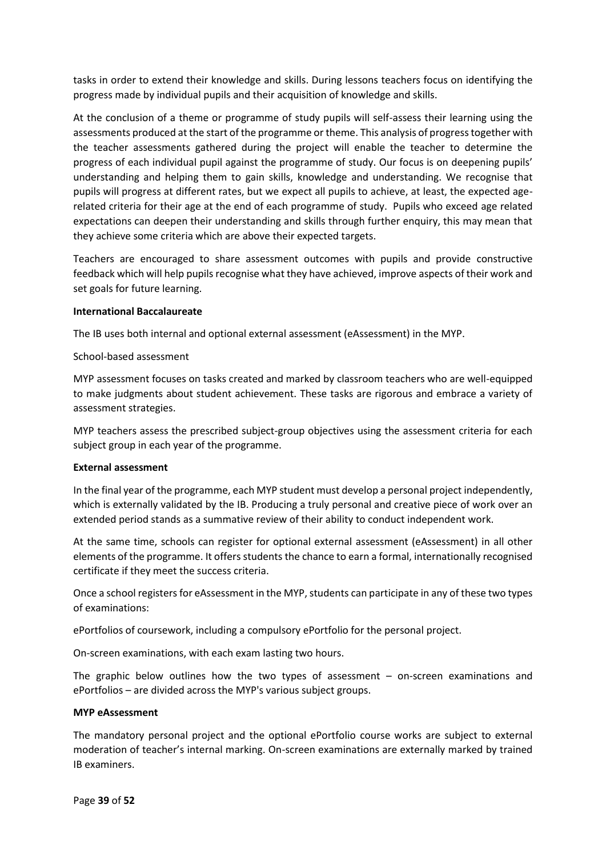tasks in order to extend their knowledge and skills. During lessons teachers focus on identifying the progress made by individual pupils and their acquisition of knowledge and skills.

At the conclusion of a theme or programme of study pupils will self-assess their learning using the assessments produced at the start of the programme or theme. This analysis of progress together with the teacher assessments gathered during the project will enable the teacher to determine the progress of each individual pupil against the programme of study. Our focus is on deepening pupils' understanding and helping them to gain skills, knowledge and understanding. We recognise that pupils will progress at different rates, but we expect all pupils to achieve, at least, the expected agerelated criteria for their age at the end of each programme of study. Pupils who exceed age related expectations can deepen their understanding and skills through further enquiry, this may mean that they achieve some criteria which are above their expected targets.

Teachers are encouraged to share assessment outcomes with pupils and provide constructive feedback which will help pupils recognise what they have achieved, improve aspects of their work and set goals for future learning.

#### **International Baccalaureate**

The IB uses both internal and optional external assessment (eAssessment) in the MYP.

#### School-based assessment

MYP assessment focuses on tasks created and marked by classroom teachers who are well-equipped to make judgments about student achievement. These tasks are rigorous and embrace a variety of assessment strategies.

MYP teachers assess the prescribed subject-group objectives using the assessment criteria for each subject group in each year of the programme.

#### **External assessment**

In the final year of the programme, each MYP student must develop a personal project independently, which is externally validated by the IB. Producing a truly personal and creative piece of work over an extended period stands as a summative review of their ability to conduct independent work.

At the same time, schools can register for optional external assessment (eAssessment) in all other elements of the programme. It offers students the chance to earn a formal, internationally recognised certificate if they meet the success criteria.

Once a school registers for eAssessment in the MYP, students can participate in any of these two types of examinations:

ePortfolios of coursework, including a compulsory ePortfolio for the personal project.

On-screen examinations, with each exam lasting two hours.

The graphic below outlines how the two types of assessment  $-$  on-screen examinations and ePortfolios – are divided across the MYP's various subject groups.

#### **MYP eAssessment**

The mandatory personal project and the optional ePortfolio course works are subject to external moderation of teacher's internal marking. On-screen examinations are externally marked by trained IB examiners.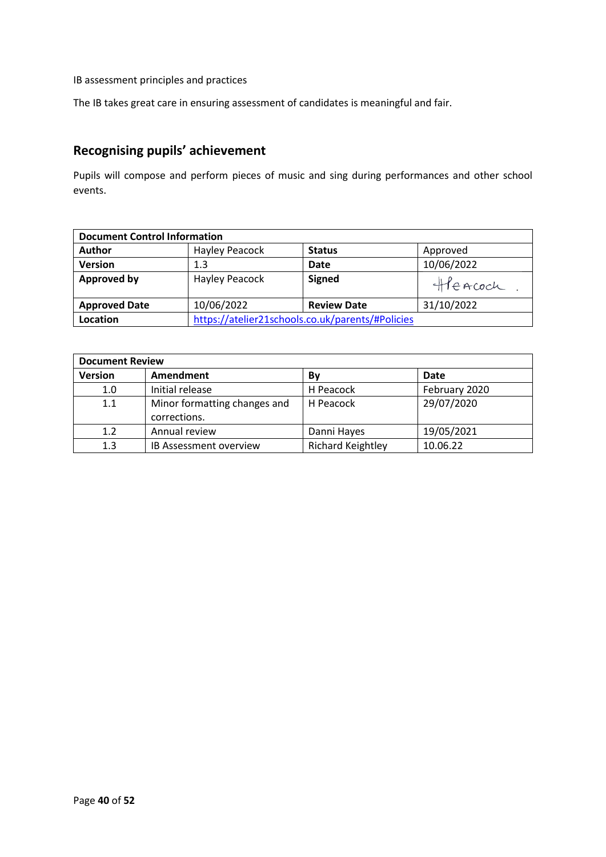IB assessment principles and practices

The IB takes great care in ensuring assessment of candidates is meaningful and fair.

# **Recognising pupils' achievement**

Pupils will compose and perform pieces of music and sing during performances and other school events.

| <b>Document Control Information</b> |                |                                                  |            |
|-------------------------------------|----------------|--------------------------------------------------|------------|
| <b>Author</b>                       | Hayley Peacock | <b>Status</b>                                    | Approved   |
| <b>Version</b>                      | 1.3            | Date                                             | 10/06/2022 |
| <b>Approved by</b>                  | Hayley Peacock | <b>Signed</b>                                    | Heacoch    |
| <b>Approved Date</b>                | 10/06/2022     | <b>Review Date</b>                               | 31/10/2022 |
| Location                            |                | https://atelier21schools.co.uk/parents/#Policies |            |

| <b>Document Review</b> |                               |                          |               |  |
|------------------------|-------------------------------|--------------------------|---------------|--|
| <b>Version</b>         | Amendment                     | By                       | Date          |  |
| 1.0                    | Initial release               | H Peacock                | February 2020 |  |
| 1.1                    | Minor formatting changes and  | H Peacock                | 29/07/2020    |  |
|                        | corrections.                  |                          |               |  |
| 1.2                    | Annual review                 | Danni Hayes              | 19/05/2021    |  |
| 1.3                    | <b>IB Assessment overview</b> | <b>Richard Keightley</b> | 10.06.22      |  |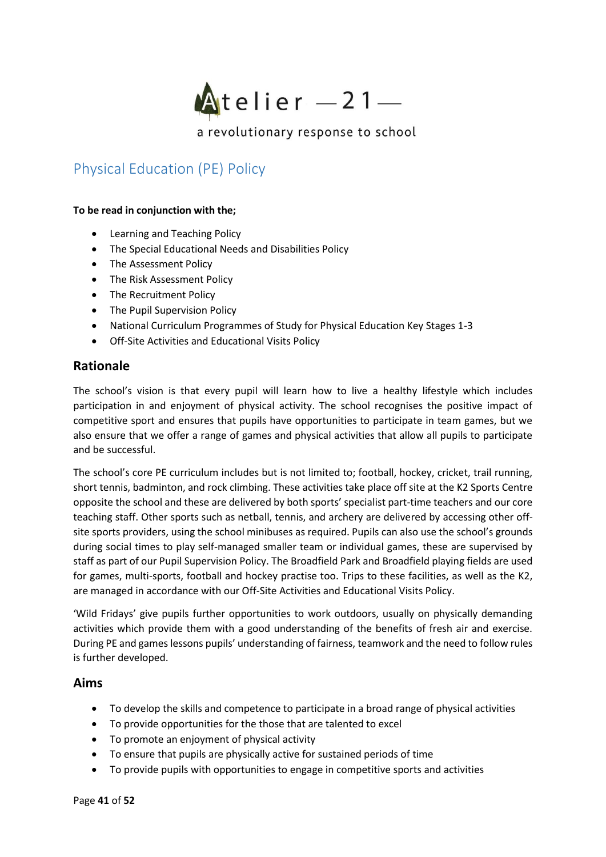

# <span id="page-40-0"></span>Physical Education (PE) Policy

#### **To be read in conjunction with the;**

- Learning and Teaching Policy
- The Special Educational Needs and Disabilities Policy
- The Assessment Policy
- The Risk Assessment Policy
- The Recruitment Policy
- The Pupil Supervision Policy
- National Curriculum Programmes of Study for Physical Education Key Stages 1-3
- Off-Site Activities and Educational Visits Policy

### **Rationale**

The school's vision is that every pupil will learn how to live a healthy lifestyle which includes participation in and enjoyment of physical activity. The school recognises the positive impact of competitive sport and ensures that pupils have opportunities to participate in team games, but we also ensure that we offer a range of games and physical activities that allow all pupils to participate and be successful.

The school's core PE curriculum includes but is not limited to; football, hockey, cricket, trail running, short tennis, badminton, and rock climbing. These activities take place off site at the K2 Sports Centre opposite the school and these are delivered by both sports' specialist part-time teachers and our core teaching staff. Other sports such as netball, tennis, and archery are delivered by accessing other offsite sports providers, using the school minibuses as required. Pupils can also use the school's grounds during social times to play self-managed smaller team or individual games, these are supervised by staff as part of our Pupil Supervision Policy. The Broadfield Park and Broadfield playing fields are used for games, multi-sports, football and hockey practise too. Trips to these facilities, as well as the K2, are managed in accordance with our Off-Site Activities and Educational Visits Policy.

'Wild Fridays' give pupils further opportunities to work outdoors, usually on physically demanding activities which provide them with a good understanding of the benefits of fresh air and exercise. During PE and games lessons pupils' understanding of fairness, teamwork and the need to follow rules is further developed.

### **Aims**

- To develop the skills and competence to participate in a broad range of physical activities
- To provide opportunities for the those that are talented to excel
- To promote an enjoyment of physical activity
- To ensure that pupils are physically active for sustained periods of time
- To provide pupils with opportunities to engage in competitive sports and activities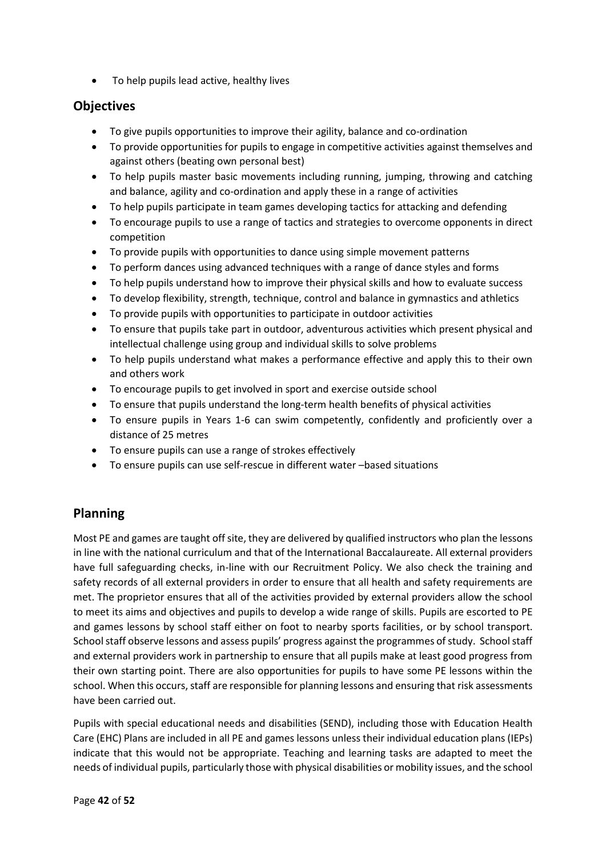• To help pupils lead active, healthy lives

## **Objectives**

- To give pupils opportunities to improve their agility, balance and co-ordination
- To provide opportunities for pupils to engage in competitive activities against themselves and against others (beating own personal best)
- To help pupils master basic movements including running, jumping, throwing and catching and balance, agility and co-ordination and apply these in a range of activities
- To help pupils participate in team games developing tactics for attacking and defending
- To encourage pupils to use a range of tactics and strategies to overcome opponents in direct competition
- To provide pupils with opportunities to dance using simple movement patterns
- To perform dances using advanced techniques with a range of dance styles and forms
- To help pupils understand how to improve their physical skills and how to evaluate success
- To develop flexibility, strength, technique, control and balance in gymnastics and athletics
- To provide pupils with opportunities to participate in outdoor activities
- To ensure that pupils take part in outdoor, adventurous activities which present physical and intellectual challenge using group and individual skills to solve problems
- To help pupils understand what makes a performance effective and apply this to their own and others work
- To encourage pupils to get involved in sport and exercise outside school
- To ensure that pupils understand the long-term health benefits of physical activities
- To ensure pupils in Years 1-6 can swim competently, confidently and proficiently over a distance of 25 metres
- To ensure pupils can use a range of strokes effectively
- To ensure pupils can use self-rescue in different water –based situations

# **Planning**

Most PE and games are taught off site, they are delivered by qualified instructors who plan the lessons in line with the national curriculum and that of the International Baccalaureate. All external providers have full safeguarding checks, in-line with our Recruitment Policy. We also check the training and safety records of all external providers in order to ensure that all health and safety requirements are met. The proprietor ensures that all of the activities provided by external providers allow the school to meet its aims and objectives and pupils to develop a wide range of skills. Pupils are escorted to PE and games lessons by school staff either on foot to nearby sports facilities, or by school transport. School staff observe lessons and assess pupils' progress against the programmes of study. School staff and external providers work in partnership to ensure that all pupils make at least good progress from their own starting point. There are also opportunities for pupils to have some PE lessons within the school. When this occurs, staff are responsible for planning lessons and ensuring that risk assessments have been carried out.

Pupils with special educational needs and disabilities (SEND), including those with Education Health Care (EHC) Plans are included in all PE and games lessons unless their individual education plans (IEPs) indicate that this would not be appropriate. Teaching and learning tasks are adapted to meet the needs of individual pupils, particularly those with physical disabilities or mobility issues, and the school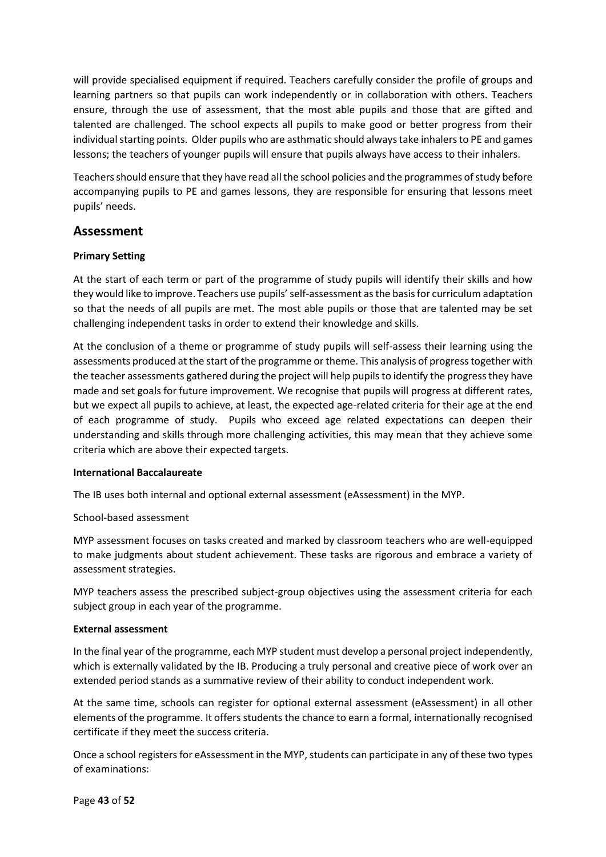will provide specialised equipment if required. Teachers carefully consider the profile of groups and learning partners so that pupils can work independently or in collaboration with others. Teachers ensure, through the use of assessment, that the most able pupils and those that are gifted and talented are challenged. The school expects all pupils to make good or better progress from their individual starting points. Older pupils who are asthmatic should always take inhalers to PE and games lessons; the teachers of younger pupils will ensure that pupils always have access to their inhalers.

Teachers should ensure that they have read all the school policies and the programmes of study before accompanying pupils to PE and games lessons, they are responsible for ensuring that lessons meet pupils' needs.

### **Assessment**

#### **Primary Setting**

At the start of each term or part of the programme of study pupils will identify their skills and how they would like to improve. Teachers use pupils' self-assessment as the basis for curriculum adaptation so that the needs of all pupils are met. The most able pupils or those that are talented may be set challenging independent tasks in order to extend their knowledge and skills.

At the conclusion of a theme or programme of study pupils will self-assess their learning using the assessments produced at the start of the programme or theme. This analysis of progress together with the teacher assessments gathered during the project will help pupils to identify the progress they have made and set goals for future improvement. We recognise that pupils will progress at different rates, but we expect all pupils to achieve, at least, the expected age-related criteria for their age at the end of each programme of study. Pupils who exceed age related expectations can deepen their understanding and skills through more challenging activities, this may mean that they achieve some criteria which are above their expected targets.

#### **International Baccalaureate**

The IB uses both internal and optional external assessment (eAssessment) in the MYP.

#### School-based assessment

MYP assessment focuses on tasks created and marked by classroom teachers who are well-equipped to make judgments about student achievement. These tasks are rigorous and embrace a variety of assessment strategies.

MYP teachers assess the prescribed subject-group objectives using the assessment criteria for each subject group in each year of the programme.

#### **External assessment**

In the final year of the programme, each MYP student must develop a personal project independently, which is externally validated by the IB. Producing a truly personal and creative piece of work over an extended period stands as a summative review of their ability to conduct independent work.

At the same time, schools can register for optional external assessment (eAssessment) in all other elements of the programme. It offers students the chance to earn a formal, internationally recognised certificate if they meet the success criteria.

Once a school registers for eAssessment in the MYP, students can participate in any of these two types of examinations: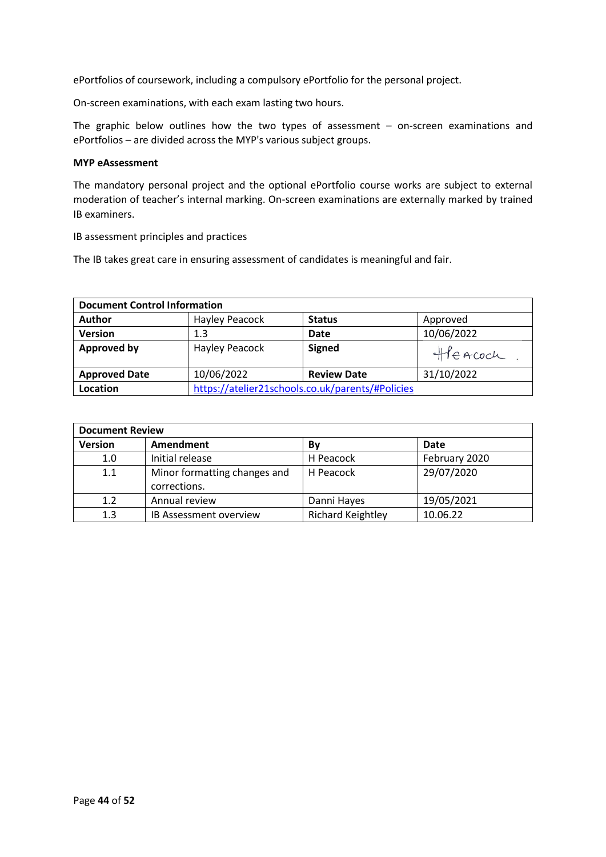ePortfolios of coursework, including a compulsory ePortfolio for the personal project.

On-screen examinations, with each exam lasting two hours.

The graphic below outlines how the two types of assessment – on-screen examinations and ePortfolios – are divided across the MYP's various subject groups.

#### **MYP eAssessment**

The mandatory personal project and the optional ePortfolio course works are subject to external moderation of teacher's internal marking. On-screen examinations are externally marked by trained IB examiners.

IB assessment principles and practices

The IB takes great care in ensuring assessment of candidates is meaningful and fair.

| <b>Document Control Information</b> |                                                  |                    |            |
|-------------------------------------|--------------------------------------------------|--------------------|------------|
| <b>Author</b>                       | <b>Hayley Peacock</b>                            | <b>Status</b>      | Approved   |
| <b>Version</b>                      | 1.3                                              | <b>Date</b>        | 10/06/2022 |
| <b>Approved by</b>                  | <b>Hayley Peacock</b>                            | <b>Signed</b>      | HEACOCK    |
| <b>Approved Date</b>                | 10/06/2022                                       | <b>Review Date</b> | 31/10/2022 |
| Location                            | https://atelier21schools.co.uk/parents/#Policies |                    |            |

| <b>Document Review</b> |                               |                          |               |
|------------------------|-------------------------------|--------------------------|---------------|
| <b>Version</b>         | Amendment                     | Bv                       | Date          |
| 1.0                    | Initial release               | H Peacock                | February 2020 |
| 1.1                    | Minor formatting changes and  | H Peacock                | 29/07/2020    |
|                        | corrections.                  |                          |               |
| 1.2                    | Annual review                 | Danni Hayes              | 19/05/2021    |
| 1.3                    | <b>IB Assessment overview</b> | <b>Richard Keightley</b> | 10.06.22      |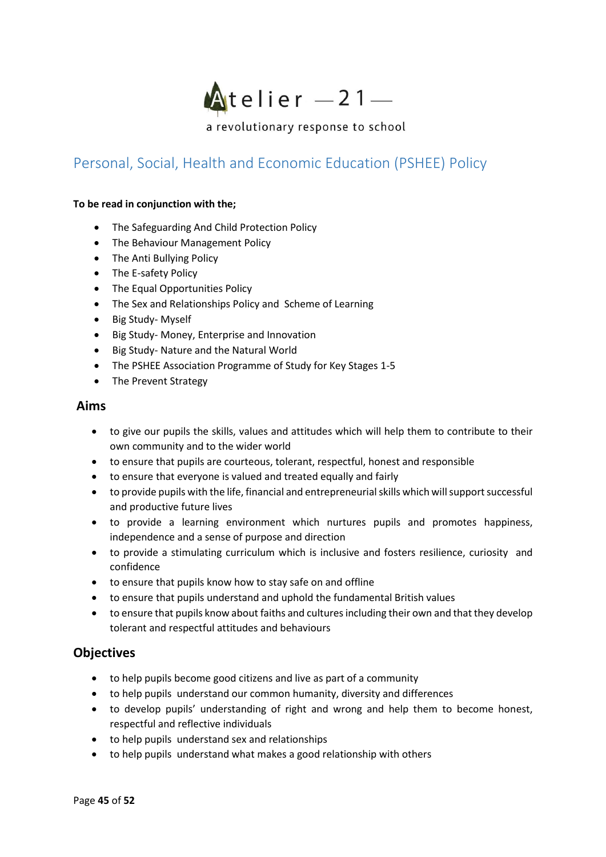

# <span id="page-44-0"></span>Personal, Social, Health and Economic Education (PSHEE) Policy

#### **To be read in conjunction with the;**

- The Safeguarding And Child Protection Policy
- The Behaviour Management Policy
- The Anti Bullying Policy
- The E-safety Policy
- The Equal Opportunities Policy
- The Sex and Relationships Policy and Scheme of Learning
- Big Study- Myself
- Big Study- Money, Enterprise and Innovation
- Big Study- Nature and the Natural World
- The PSHEE Association Programme of Study for Key Stages 1-5
- The Prevent Strategy

### **Aims**

- to give our pupils the skills, values and attitudes which will help them to contribute to their own community and to the wider world
- to ensure that pupils are courteous, tolerant, respectful, honest and responsible
- to ensure that everyone is valued and treated equally and fairly
- to provide pupils with the life, financial and entrepreneurial skills which will support successful and productive future lives
- to provide a learning environment which nurtures pupils and promotes happiness, independence and a sense of purpose and direction
- to provide a stimulating curriculum which is inclusive and fosters resilience, curiosity and confidence
- to ensure that pupils know how to stay safe on and offline
- to ensure that pupils understand and uphold the fundamental British values
- to ensure that pupils know about faiths and cultures including their own and that they develop tolerant and respectful attitudes and behaviours

### **Objectives**

- to help pupils become good citizens and live as part of a community
- to help pupils understand our common humanity, diversity and differences
- to develop pupils' understanding of right and wrong and help them to become honest, respectful and reflective individuals
- to help pupils understand sex and relationships
- to help pupils understand what makes a good relationship with others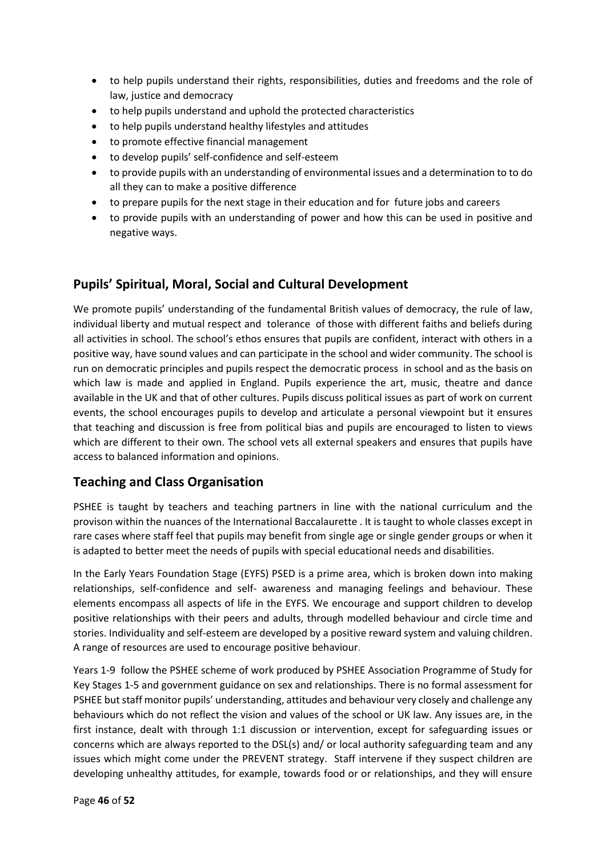- to help pupils understand their rights, responsibilities, duties and freedoms and the role of law, justice and democracy
- to help pupils understand and uphold the protected characteristics
- to help pupils understand healthy lifestyles and attitudes
- to promote effective financial management
- to develop pupils' self-confidence and self-esteem
- to provide pupils with an understanding of environmental issues and a determination to to do all they can to make a positive difference
- to prepare pupils for the next stage in their education and for future jobs and careers
- to provide pupils with an understanding of power and how this can be used in positive and negative ways.

# **Pupils' Spiritual, Moral, Social and Cultural Development**

We promote pupils' understanding of the fundamental British values of democracy, the rule of law, individual liberty and mutual respect and tolerance of those with different faiths and beliefs during all activities in school. The school's ethos ensures that pupils are confident, interact with others in a positive way, have sound values and can participate in the school and wider community. The school is run on democratic principles and pupils respect the democratic process in school and as the basis on which law is made and applied in England. Pupils experience the art, music, theatre and dance available in the UK and that of other cultures. Pupils discuss political issues as part of work on current events, the school encourages pupils to develop and articulate a personal viewpoint but it ensures that teaching and discussion is free from political bias and pupils are encouraged to listen to views which are different to their own. The school vets all external speakers and ensures that pupils have access to balanced information and opinions.

# **Teaching and Class Organisation**

PSHEE is taught by teachers and teaching partners in line with the national curriculum and the provison within the nuances of the International Baccalaurette . It is taught to whole classes except in rare cases where staff feel that pupils may benefit from single age or single gender groups or when it is adapted to better meet the needs of pupils with special educational needs and disabilities.

In the Early Years Foundation Stage (EYFS) PSED is a prime area, which is broken down into making relationships, self-confidence and self- awareness and managing feelings and behaviour. These elements encompass all aspects of life in the EYFS. We encourage and support children to develop positive relationships with their peers and adults, through modelled behaviour and circle time and stories. Individuality and self-esteem are developed by a positive reward system and valuing children. A range of resources are used to encourage positive behaviour.

Years 1-9 follow the PSHEE scheme of work produced by PSHEE Association Programme of Study for Key Stages 1-5 and government guidance on sex and relationships. There is no formal assessment for PSHEE but staff monitor pupils' understanding, attitudes and behaviour very closely and challenge any behaviours which do not reflect the vision and values of the school or UK law. Any issues are, in the first instance, dealt with through 1:1 discussion or intervention, except for safeguarding issues or concerns which are always reported to the DSL(s) and/ or local authority safeguarding team and any issues which might come under the PREVENT strategy. Staff intervene if they suspect children are developing unhealthy attitudes, for example, towards food or or relationships, and they will ensure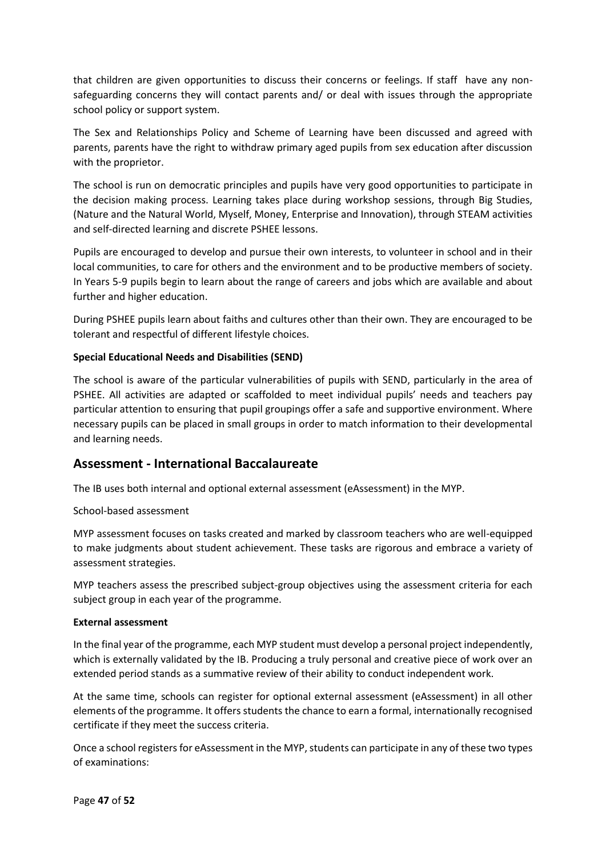that children are given opportunities to discuss their concerns or feelings. If staff have any nonsafeguarding concerns they will contact parents and/ or deal with issues through the appropriate school policy or support system.

The Sex and Relationships Policy and Scheme of Learning have been discussed and agreed with parents, parents have the right to withdraw primary aged pupils from sex education after discussion with the proprietor.

The school is run on democratic principles and pupils have very good opportunities to participate in the decision making process. Learning takes place during workshop sessions, through Big Studies, (Nature and the Natural World, Myself, Money, Enterprise and Innovation), through STEAM activities and self-directed learning and discrete PSHEE lessons.

Pupils are encouraged to develop and pursue their own interests, to volunteer in school and in their local communities, to care for others and the environment and to be productive members of society. In Years 5-9 pupils begin to learn about the range of careers and jobs which are available and about further and higher education.

During PSHEE pupils learn about faiths and cultures other than their own. They are encouraged to be tolerant and respectful of different lifestyle choices.

#### **Special Educational Needs and Disabilities (SEND)**

The school is aware of the particular vulnerabilities of pupils with SEND, particularly in the area of PSHEE. All activities are adapted or scaffolded to meet individual pupils' needs and teachers pay particular attention to ensuring that pupil groupings offer a safe and supportive environment. Where necessary pupils can be placed in small groups in order to match information to their developmental and learning needs.

### **Assessment - International Baccalaureate**

The IB uses both internal and optional external assessment (eAssessment) in the MYP.

#### School-based assessment

MYP assessment focuses on tasks created and marked by classroom teachers who are well-equipped to make judgments about student achievement. These tasks are rigorous and embrace a variety of assessment strategies.

MYP teachers assess the prescribed subject-group objectives using the assessment criteria for each subject group in each year of the programme.

#### **External assessment**

In the final year of the programme, each MYP student must develop a personal project independently, which is externally validated by the IB. Producing a truly personal and creative piece of work over an extended period stands as a summative review of their ability to conduct independent work.

At the same time, schools can register for optional external assessment (eAssessment) in all other elements of the programme. It offers students the chance to earn a formal, internationally recognised certificate if they meet the success criteria.

Once a school registersfor eAssessment in the MYP, students can participate in any of these two types of examinations: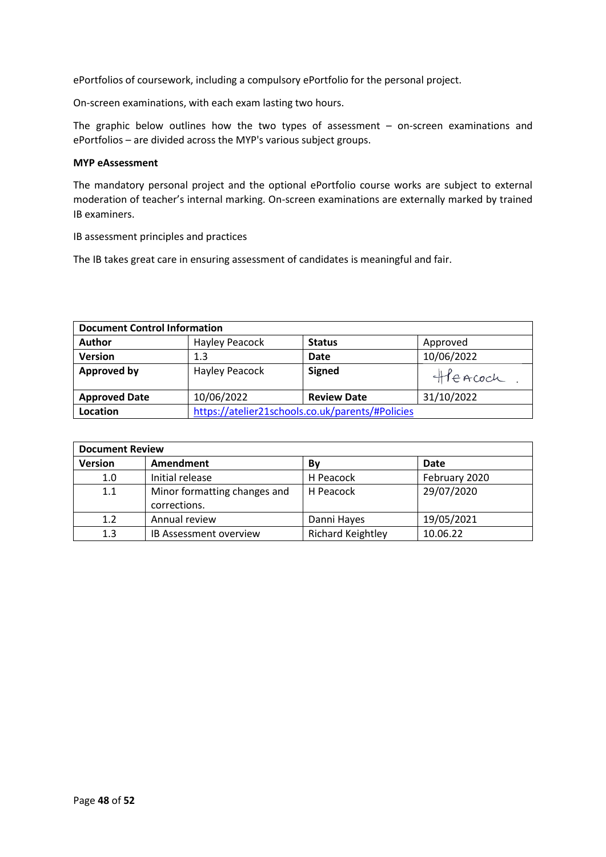ePortfolios of coursework, including a compulsory ePortfolio for the personal project.

On-screen examinations, with each exam lasting two hours.

The graphic below outlines how the two types of assessment – on-screen examinations and ePortfolios – are divided across the MYP's various subject groups.

#### **MYP eAssessment**

The mandatory personal project and the optional ePortfolio course works are subject to external moderation of teacher's internal marking. On-screen examinations are externally marked by trained IB examiners.

IB assessment principles and practices

The IB takes great care in ensuring assessment of candidates is meaningful and fair.

| <b>Document Control Information</b> |                |                                                  |            |
|-------------------------------------|----------------|--------------------------------------------------|------------|
| <b>Author</b>                       | Hayley Peacock | <b>Status</b>                                    | Approved   |
| <b>Version</b>                      | 1.3            | <b>Date</b>                                      | 10/06/2022 |
| <b>Approved by</b>                  | Hayley Peacock | <b>Signed</b>                                    | Heacoch    |
| <b>Approved Date</b>                | 10/06/2022     | <b>Review Date</b>                               | 31/10/2022 |
| Location                            |                | https://atelier21schools.co.uk/parents/#Policies |            |

| <b>Document Review</b> |                                              |                          |               |  |
|------------------------|----------------------------------------------|--------------------------|---------------|--|
| <b>Version</b>         | Amendment                                    | Bν                       | Date          |  |
| 1.0                    | Initial release                              | H Peacock                | February 2020 |  |
| 1.1                    | Minor formatting changes and<br>corrections. | H Peacock                | 29/07/2020    |  |
| 1.2                    | Annual review                                | Danni Hayes              | 19/05/2021    |  |
| 1.3                    | IB Assessment overview                       | <b>Richard Keightley</b> | 10.06.22      |  |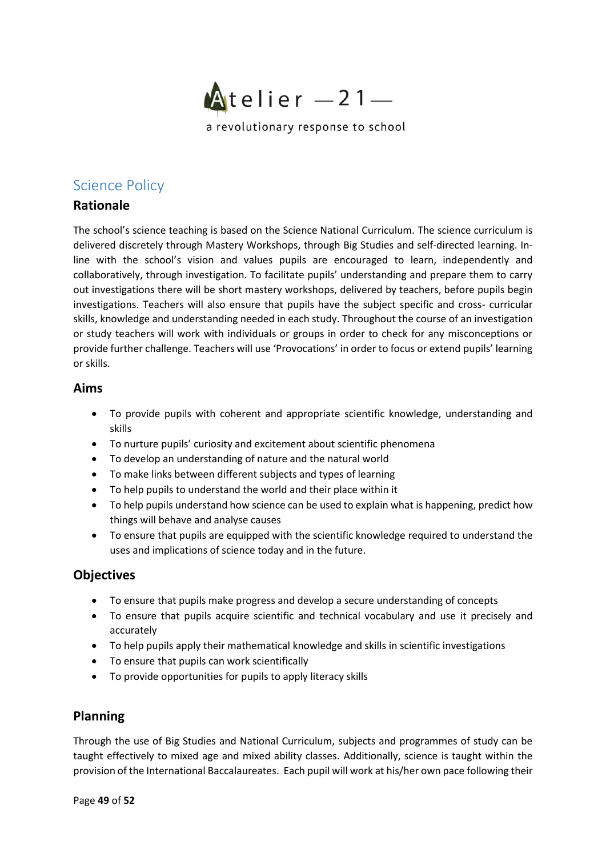

# <span id="page-48-0"></span>Science Policy

# **Rationale**

The school's science teaching is based on the Science National Curriculum. The science curriculum is delivered discretely through Mastery Workshops, through Big Studies and self-directed learning. Inline with the school's vision and values pupils are encouraged to learn, independently and collaboratively, through investigation. To facilitate pupils' understanding and prepare them to carry out investigations there will be short mastery workshops, delivered by teachers, before pupils begin investigations. Teachers will also ensure that pupils have the subject specific and cross- curricular skills, knowledge and understanding needed in each study. Throughout the course of an investigation or study teachers will work with individuals or groups in order to check for any misconceptions or provide further challenge. Teachers will use 'Provocations' in order to focus or extend pupils' learning or skills.

### **Aims**

- To provide pupils with coherent and appropriate scientific knowledge, understanding and skills
- To nurture pupils' curiosity and excitement about scientific phenomena
- To develop an understanding of nature and the natural world
- To make links between different subjects and types of learning
- To help pupils to understand the world and their place within it
- To help pupils understand how science can be used to explain what is happening, predict how things will behave and analyse causes
- To ensure that pupils are equipped with the scientific knowledge required to understand the uses and implications of science today and in the future.

### **Objectives**

- To ensure that pupils make progress and develop a secure understanding of concepts
- To ensure that pupils acquire scientific and technical vocabulary and use it precisely and accurately
- To help pupils apply their mathematical knowledge and skills in scientific investigations
- To ensure that pupils can work scientifically
- To provide opportunities for pupils to apply literacy skills

# **Planning**

Through the use of Big Studies and National Curriculum, subjects and programmes of study can be taught effectively to mixed age and mixed ability classes. Additionally, science is taught within the provision of the International Baccalaureates. Each pupil will work at his/her own pace following their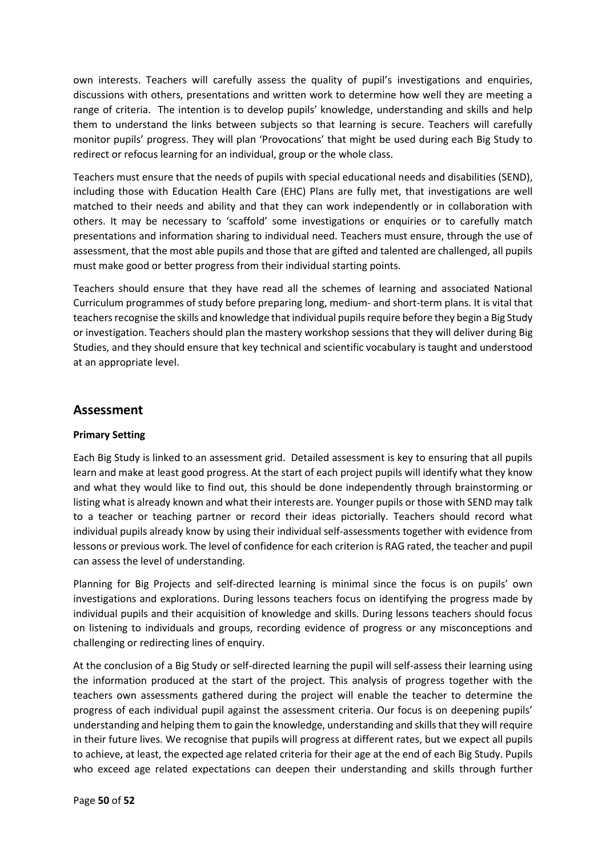own interests. Teachers will carefully assess the quality of pupil's investigations and enquiries, discussions with others, presentations and written work to determine how well they are meeting a range of criteria. The intention is to develop pupils' knowledge, understanding and skills and help them to understand the links between subjects so that learning is secure. Teachers will carefully monitor pupils' progress. They will plan 'Provocations' that might be used during each Big Study to redirect or refocus learning for an individual, group or the whole class.

Teachers must ensure that the needs of pupils with special educational needs and disabilities (SEND), including those with Education Health Care (EHC) Plans are fully met, that investigations are well matched to their needs and ability and that they can work independently or in collaboration with others. It may be necessary to 'scaffold' some investigations or enquiries or to carefully match presentations and information sharing to individual need. Teachers must ensure, through the use of assessment, that the most able pupils and those that are gifted and talented are challenged, all pupils must make good or better progress from their individual starting points.

Teachers should ensure that they have read all the schemes of learning and associated National Curriculum programmes of study before preparing long, medium- and short-term plans. It is vital that teachers recognise the skills and knowledge that individual pupils require before they begin a Big Study or investigation. Teachers should plan the mastery workshop sessions that they will deliver during Big Studies, and they should ensure that key technical and scientific vocabulary is taught and understood at an appropriate level.

### **Assessment**

#### **Primary Setting**

Each Big Study is linked to an assessment grid. Detailed assessment is key to ensuring that all pupils learn and make at least good progress. At the start of each project pupils will identify what they know and what they would like to find out, this should be done independently through brainstorming or listing what is already known and what their interests are. Younger pupils or those with SEND may talk to a teacher or teaching partner or record their ideas pictorially. Teachers should record what individual pupils already know by using their individual self-assessments together with evidence from lessons or previous work. The level of confidence for each criterion is RAG rated, the teacher and pupil can assess the level of understanding.

Planning for Big Projects and self-directed learning is minimal since the focus is on pupils' own investigations and explorations. During lessons teachers focus on identifying the progress made by individual pupils and their acquisition of knowledge and skills. During lessons teachers should focus on listening to individuals and groups, recording evidence of progress or any misconceptions and challenging or redirecting lines of enquiry.

At the conclusion of a Big Study or self-directed learning the pupil will self-assess their learning using the information produced at the start of the project. This analysis of progress together with the teachers own assessments gathered during the project will enable the teacher to determine the progress of each individual pupil against the assessment criteria. Our focus is on deepening pupils' understanding and helping them to gain the knowledge, understanding and skills that they will require in their future lives. We recognise that pupils will progress at different rates, but we expect all pupils to achieve, at least, the expected age related criteria for their age at the end of each Big Study. Pupils who exceed age related expectations can deepen their understanding and skills through further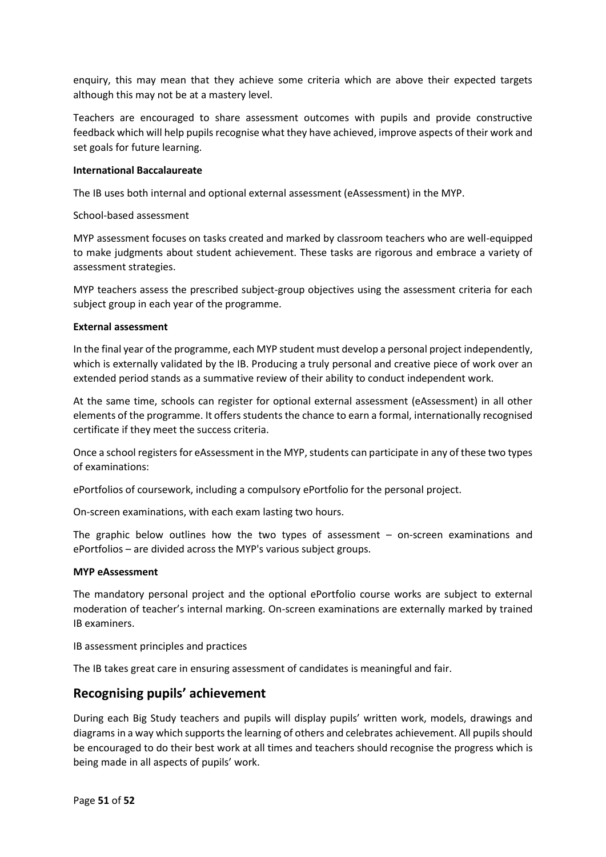enquiry, this may mean that they achieve some criteria which are above their expected targets although this may not be at a mastery level.

Teachers are encouraged to share assessment outcomes with pupils and provide constructive feedback which will help pupils recognise what they have achieved, improve aspects of their work and set goals for future learning.

#### **International Baccalaureate**

The IB uses both internal and optional external assessment (eAssessment) in the MYP.

School-based assessment

MYP assessment focuses on tasks created and marked by classroom teachers who are well-equipped to make judgments about student achievement. These tasks are rigorous and embrace a variety of assessment strategies.

MYP teachers assess the prescribed subject-group objectives using the assessment criteria for each subject group in each year of the programme.

#### **External assessment**

In the final year of the programme, each MYP student must develop a personal project independently, which is externally validated by the IB. Producing a truly personal and creative piece of work over an extended period stands as a summative review of their ability to conduct independent work.

At the same time, schools can register for optional external assessment (eAssessment) in all other elements of the programme. It offers students the chance to earn a formal, internationally recognised certificate if they meet the success criteria.

Once a school registers for eAssessment in the MYP, students can participate in any of these two types of examinations:

ePortfolios of coursework, including a compulsory ePortfolio for the personal project.

On-screen examinations, with each exam lasting two hours.

The graphic below outlines how the two types of assessment  $-$  on-screen examinations and ePortfolios – are divided across the MYP's various subject groups.

#### **MYP eAssessment**

The mandatory personal project and the optional ePortfolio course works are subject to external moderation of teacher's internal marking. On-screen examinations are externally marked by trained IB examiners.

IB assessment principles and practices

The IB takes great care in ensuring assessment of candidates is meaningful and fair.

### **Recognising pupils' achievement**

During each Big Study teachers and pupils will display pupils' written work, models, drawings and diagrams in a way which supports the learning of others and celebrates achievement. All pupils should be encouraged to do their best work at all times and teachers should recognise the progress which is being made in all aspects of pupils' work.